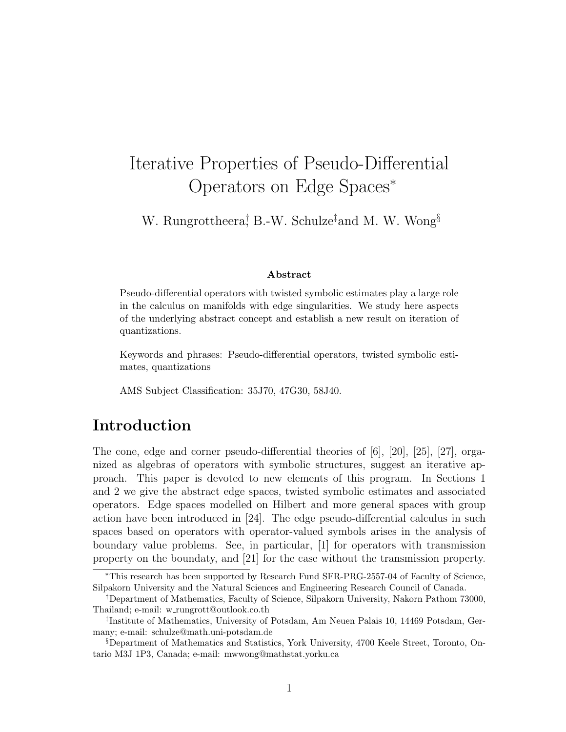# Iterative Properties of Pseudo-Differential Operators on Edge Spaces<sup>∗</sup>

W. Rungrottheera<sup>†</sup> B.-W. Schulze<sup>‡</sup>and M. W. Wong<sup>§</sup>

#### Abstract

Pseudo-differential operators with twisted symbolic estimates play a large role in the calculus on manifolds with edge singularities. We study here aspects of the underlying abstract concept and establish a new result on iteration of quantizations.

Keywords and phrases: Pseudo-differential operators, twisted symbolic estimates, quantizations

AMS Subject Classification: 35J70, 47G30, 58J40.

# Introduction

The cone, edge and corner pseudo-differential theories of [6], [20], [25], [27], organized as algebras of operators with symbolic structures, suggest an iterative approach. This paper is devoted to new elements of this program. In Sections 1 and 2 we give the abstract edge spaces, twisted symbolic estimates and associated operators. Edge spaces modelled on Hilbert and more general spaces with group action have been introduced in [24]. The edge pseudo-differential calculus in such spaces based on operators with operator-valued symbols arises in the analysis of boundary value problems. See, in particular, [1] for operators with transmission property on the boundaty, and [21] for the case without the transmission property.

<sup>∗</sup>This research has been supported by Research Fund SFR-PRG-2557-04 of Faculty of Science, Silpakorn University and the Natural Sciences and Engineering Research Council of Canada.

<sup>†</sup>Department of Mathematics, Faculty of Science, Silpakorn University, Nakorn Pathom 73000, Thailand; e-mail: w rungrott@outlook.co.th

<sup>‡</sup> Institute of Mathematics, University of Potsdam, Am Neuen Palais 10, 14469 Potsdam, Germany; e-mail: schulze@math.uni-potsdam.de

<sup>§</sup>Department of Mathematics and Statistics, York University, 4700 Keele Street, Toronto, Ontario M3J 1P3, Canada; e-mail: mwwong@mathstat.yorku.ca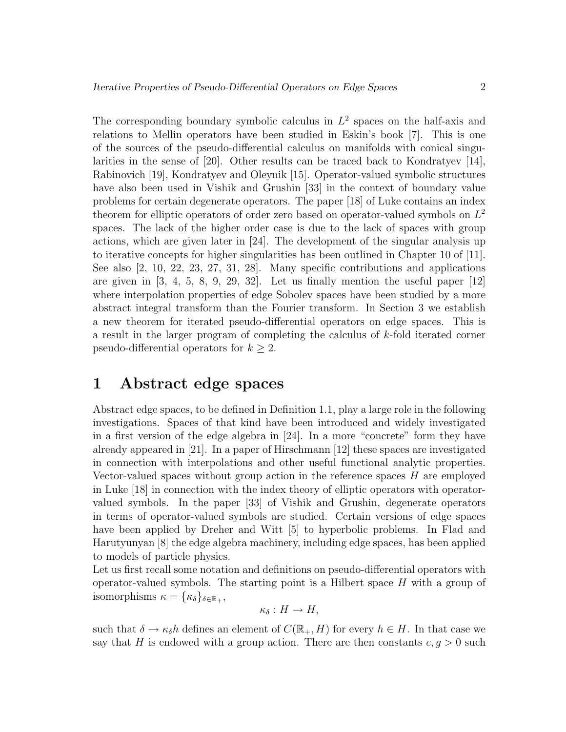The corresponding boundary symbolic calculus in  $L^2$  spaces on the half-axis and relations to Mellin operators have been studied in Eskin's book [7]. This is one of the sources of the pseudo-differential calculus on manifolds with conical singularities in the sense of [20]. Other results can be traced back to Kondratyev [14], Rabinovich [19], Kondratyev and Oleynik [15]. Operator-valued symbolic structures have also been used in Vishik and Grushin [33] in the context of boundary value problems for certain degenerate operators. The paper [18] of Luke contains an index theorem for elliptic operators of order zero based on operator-valued symbols on  $L^2$ spaces. The lack of the higher order case is due to the lack of spaces with group actions, which are given later in [24]. The development of the singular analysis up to iterative concepts for higher singularities has been outlined in Chapter 10 of [11]. See also [2, 10, 22, 23, 27, 31, 28]. Many specific contributions and applications are given in  $\begin{bmatrix} 3, 4, 5, 8, 9, 29, 32 \end{bmatrix}$ . Let us finally mention the useful paper  $\begin{bmatrix} 12 \end{bmatrix}$ where interpolation properties of edge Sobolev spaces have been studied by a more abstract integral transform than the Fourier transform. In Section 3 we establish a new theorem for iterated pseudo-differential operators on edge spaces. This is a result in the larger program of completing the calculus of k-fold iterated corner pseudo-differential operators for  $k \geq 2$ .

# 1 Abstract edge spaces

Abstract edge spaces, to be defined in Definition 1.1, play a large role in the following investigations. Spaces of that kind have been introduced and widely investigated in a first version of the edge algebra in [24]. In a more "concrete" form they have already appeared in [21]. In a paper of Hirschmann [12] these spaces are investigated in connection with interpolations and other useful functional analytic properties. Vector-valued spaces without group action in the reference spaces H are employed in Luke [18] in connection with the index theory of elliptic operators with operatorvalued symbols. In the paper [33] of Vishik and Grushin, degenerate operators in terms of operator-valued symbols are studied. Certain versions of edge spaces have been applied by Dreher and Witt [5] to hyperbolic problems. In Flad and Harutyunyan [8] the edge algebra machinery, including edge spaces, has been applied to models of particle physics.

Let us first recall some notation and definitions on pseudo-differential operators with operator-valued symbols. The starting point is a Hilbert space  $H$  with a group of isomorphisms  $\kappa = {\{\kappa_\delta\}}_{\delta \in \mathbb{R}_+},$ 

$$
\kappa_{\delta}: H \to H,
$$

such that  $\delta \to \kappa_{\delta} h$  defines an element of  $C(\mathbb{R}_+, H)$  for every  $h \in H$ . In that case we say that H is endowed with a group action. There are then constants  $c, g > 0$  such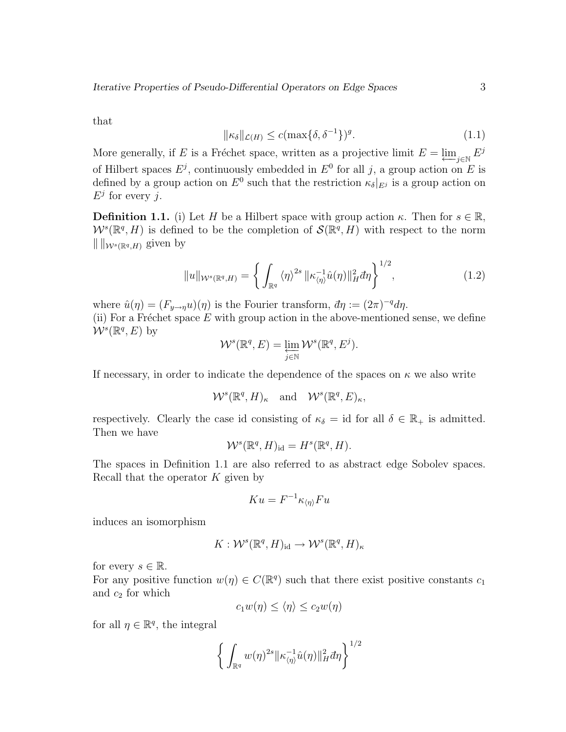that

$$
\|\kappa_{\delta}\|_{\mathcal{L}(H)} \le c(\max\{\delta, \delta^{-1}\})^g. \tag{1.1}
$$

More generally, if E is a Fréchet space, written as a projective limit  $E = \varprojlim_{j \in \mathbb{N}} E^j$ of Hilbert spaces  $E^j$ , continuously embedded in  $E^0$  for all j, a group action on E is defined by a group action on  $E^0$  such that the restriction  $\kappa_{\delta}|_{E^j}$  is a group action on  $E^j$  for every j.

**Definition 1.1.** (i) Let H be a Hilbert space with group action  $\kappa$ . Then for  $s \in \mathbb{R}$ ,  $W^s(\mathbb{R}^q, H)$  is defined to be the completion of  $\mathcal{S}(\mathbb{R}^q, H)$  with respect to the norm  $\| \cdot \|_{\mathcal{W}^{s}(\mathbb{R}^q,H)}$  given by

$$
||u||_{\mathcal{W}^s(\mathbb{R}^q,H)} = \left\{ \int_{\mathbb{R}^q} \langle \eta \rangle^{2s} \, ||\kappa_{\langle \eta \rangle}^{-1} \hat{u}(\eta)||_H^2 d\eta \right\}^{1/2},\tag{1.2}
$$

where  $\hat{u}(\eta) = (F_{y \to \eta} u)(\eta)$  is the Fourier transform,  $d\eta := (2\pi)^{-q} d\eta$ .

(ii) For a Fréchet space  $E$  with group action in the above-mentioned sense, we define  $W^s(\mathbb{R}^q, E)$  by

$$
\mathcal{W}^s(\mathbb{R}^q, E) = \varprojlim_{j \in \mathbb{N}} \mathcal{W}^s(\mathbb{R}^q, E^j).
$$

If necessary, in order to indicate the dependence of the spaces on  $\kappa$  we also write

$$
\mathcal{W}^s(\mathbb{R}^q, H)_{\kappa} \quad \text{and} \quad \mathcal{W}^s(\mathbb{R}^q, E)_{\kappa},
$$

respectively. Clearly the case id consisting of  $\kappa_{\delta} = id$  for all  $\delta \in \mathbb{R}_{+}$  is admitted. Then we have

$$
\mathcal{W}^s(\mathbb{R}^q, H)_{\text{id}} = H^s(\mathbb{R}^q, H).
$$

The spaces in Definition 1.1 are also referred to as abstract edge Sobolev spaces. Recall that the operator  $K$  given by

$$
Ku = F^{-1} \kappa_{\langle \eta \rangle} F u
$$

induces an isomorphism

$$
K: \mathcal{W}^s(\mathbb{R}^q, H)_{\mathrm{id}} \to \mathcal{W}^s(\mathbb{R}^q, H)_{\kappa}
$$

for every  $s \in \mathbb{R}$ .

For any positive function  $w(\eta) \in C(\mathbb{R}^q)$  such that there exist positive constants  $c_1$ and  $c_2$  for which

$$
c_1 w(\eta) \le \langle \eta \rangle \le c_2 w(\eta)
$$

for all  $\eta \in \mathbb{R}^q$ , the integral

$$
\left\{\int_{\mathbb{R}^q} w(\eta)^{2s} \|\kappa_{\langle \eta \rangle}^{-1}\hat{u}(\eta)\|_H^2 d\eta\right\}^{1/2}
$$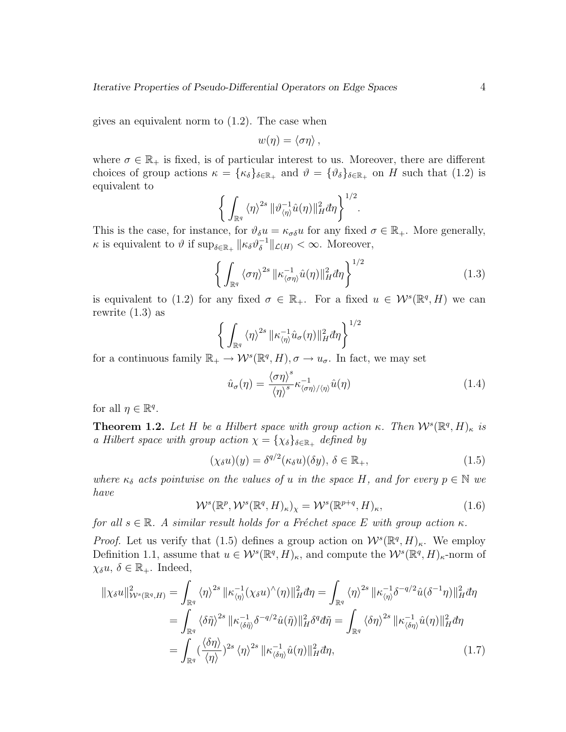gives an equivalent norm to (1.2). The case when

$$
w(\eta) = \langle \sigma \eta \rangle \, ,
$$

where  $\sigma \in \mathbb{R}_+$  is fixed, is of particular interest to us. Moreover, there are different choices of group actions  $\kappa = {\{\kappa_\delta\}}_{\delta \in \mathbb{R}_+}$  and  $\vartheta = {\{\vartheta_\delta\}}_{\delta \in \mathbb{R}_+}$  on H such that (1.2) is equivalent to

$$
\bigg\{\int_{\mathbb{R}^q}\left\langle \eta\right\rangle^{2s}\|\vartheta_{\left\langle \eta\right\rangle}^{-1}\hat{u}(\eta)\|_{H}^2d\eta\bigg\}^{1/2}.
$$

This is the case, for instance, for  $\vartheta_{\delta}u = \kappa_{\sigma\delta}u$  for any fixed  $\sigma \in \mathbb{R}_{+}$ . More generally,  $\kappa$  is equivalent to  $\vartheta$  if  $\sup_{\delta \in \mathbb{R}_+} ||\kappa_{\delta} \vartheta_{\delta}^{-1}$  $\int_{\delta}^{-1}$ || $\mathcal{L}(H) < \infty$ . Moreover,

$$
\left\{ \int_{\mathbb{R}^q} \langle \sigma \eta \rangle^{2s} \, \|\kappa_{\langle \sigma \eta \rangle}^{-1} \hat{u}(\eta)\|_{H}^{2} d\eta \right\}^{1/2} \tag{1.3}
$$

is equivalent to (1.2) for any fixed  $\sigma \in \mathbb{R}_+$ . For a fixed  $u \in \mathcal{W}^s(\mathbb{R}^q, H)$  we can rewrite (1.3) as

$$
\left\{\int_{\mathbb{R}^q} \langle \eta \rangle^{2s} \|\kappa_{\langle \eta \rangle}^{-1}\hat{u}_{\sigma}(\eta)\|_{H}^{2} d\eta\right\}^{1/2}
$$

for a continuous family  $\mathbb{R}_+ \to \mathcal{W}^s(\mathbb{R}^q, H)$ ,  $\sigma \to u_{\sigma}$ . In fact, we may set

$$
\hat{u}_{\sigma}(\eta) = \frac{\langle \sigma \eta \rangle^s}{\langle \eta \rangle^s} \kappa_{\langle \sigma \eta \rangle / \langle \eta \rangle}^{-1} \hat{u}(\eta) \tag{1.4}
$$

for all  $\eta \in \mathbb{R}^q$ .

**Theorem 1.2.** Let H be a Hilbert space with group action κ. Then  $W^s(\mathbb{R}^q, H)_{\kappa}$  is a Hilbert space with group action  $\chi = {\chi_{\delta}}_{\delta \in \mathbb{R}_+}$  defined by

$$
(\chi_{\delta}u)(y) = \delta^{q/2}(\kappa_{\delta}u)(\delta y), \ \delta \in \mathbb{R}_{+},
$$
\n(1.5)

where  $\kappa_{\delta}$  acts pointwise on the values of u in the space H, and for every  $p \in \mathbb{N}$  we have

$$
\mathcal{W}^s(\mathbb{R}^p, \mathcal{W}^s(\mathbb{R}^q, H)_\kappa)_\chi = \mathcal{W}^s(\mathbb{R}^{p+q}, H)_\kappa,\tag{1.6}
$$

for all  $s \in \mathbb{R}$ . A similar result holds for a Fréchet space E with group action  $\kappa$ .

*Proof.* Let us verify that (1.5) defines a group action on  $W^s(\mathbb{R}^q, H)_{\kappa}$ . We employ Definition 1.1, assume that  $u \in W^s(\mathbb{R}^q, H)_{\kappa}$ , and compute the  $W^s(\mathbb{R}^q, H)_{\kappa}$ -norm of  $\chi_{\delta} u, \delta \in \mathbb{R}_{+}$ . Indeed,

$$
\|\chi_{\delta}u\|_{\mathcal{W}^{s}(\mathbb{R}^{q},H)}^{2} = \int_{\mathbb{R}^{q}} \langle\eta\rangle^{2s} \|\kappa_{\langle\eta\rangle}^{-1}(\chi_{\delta}u)^{\wedge}(\eta)\|_{H}^{2} d\eta = \int_{\mathbb{R}^{q}} \langle\eta\rangle^{2s} \|\kappa_{\langle\eta\rangle}^{-1}\delta^{-q/2}\hat{u}(\delta^{-1}\eta)\|_{H}^{2} d\eta
$$

$$
= \int_{\mathbb{R}^{q}} \langle\delta\tilde{\eta}\rangle^{2s} \|\kappa_{\langle\delta\tilde{\eta}\rangle}^{-1}\delta^{-q/2}\hat{u}(\tilde{\eta})\|_{H}^{2} \delta^{q} d\tilde{\eta} = \int_{\mathbb{R}^{q}} \langle\delta\eta\rangle^{2s} \|\kappa_{\langle\delta\eta\rangle}^{-1}\hat{u}(\eta)\|_{H}^{2} d\eta
$$

$$
= \int_{\mathbb{R}^{q}} \langle\frac{\langle\delta\eta\rangle}{\langle\eta\rangle}\rangle^{2s} \langle\eta\rangle^{2s} \|\kappa_{\langle\delta\eta\rangle}^{-1}\hat{u}(\eta)\|_{H}^{2} d\eta, \tag{1.7}
$$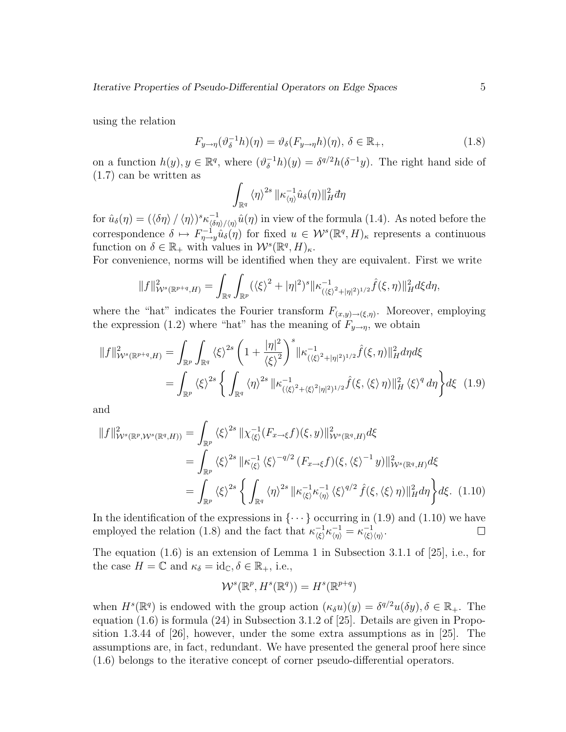using the relation

$$
F_{y \to \eta}(\vartheta_{\delta}^{-1}h)(\eta) = \vartheta_{\delta}(F_{y \to \eta}h)(\eta), \, \delta \in \mathbb{R}_{+},
$$
\n(1.8)

on a function  $h(y), y \in \mathbb{R}^q$ , where  $(\vartheta_{\delta}^{-1}h)(y) = \delta^{q/2}h(\delta^{-1}y)$ . The right hand side of (1.7) can be written as

$$
\int_{\mathbb{R}^q}\left\langle \eta\right\rangle^{2s}\|\kappa_{\left\langle \eta\right\rangle}^{-1}\hat{u}_{\delta}(\eta)\|_{H}^2\vec{a}\eta
$$

for  $\hat{u}_{\delta}(\eta) = (\langle \delta \eta \rangle / \langle \eta \rangle)^s \kappa_{\langle \delta \eta \rangle}^{-1}$  $\frac{1}{\langle \delta \eta \rangle / \langle \eta \rangle} \hat{u}(\eta)$  in view of the formula (1.4). As noted before the correspondence  $\delta \mapsto F_{\eta \to y}^{-1} \hat{u}_\delta(\eta)$  for fixed  $u \in \mathcal{W}^s(\mathbb{R}^q, H)_{\kappa}$  represents a continuous function on  $\delta \in \mathbb{R}_+$  with values in  $\mathcal{W}^s(\mathbb{R}^q, H)_{\kappa}$ .

For convenience, norms will be identified when they are equivalent. First we write

$$
||f||_{\mathcal{W}^{s}(\mathbb{R}^{p+q},H)}^{2} = \int_{\mathbb{R}^{q}} \int_{\mathbb{R}^{p}} (\langle \xi \rangle^{2} + |\eta|^{2})^{s} ||\kappa_{(\langle \xi \rangle^{2} + |\eta|^{2})^{1/2}}^{-1} \hat{f}(\xi,\eta)||_{H}^{2} d\xi d\eta,
$$

where the "hat" indicates the Fourier transform  $F_{(x,y)\to(\xi,\eta)}$ . Moreover, employing the expression (1.2) where "hat" has the meaning of  $F_{y\to\eta}$ , we obtain

$$
||f||_{\mathcal{W}^{s}(\mathbb{R}^{p+q},H)}^{2} = \int_{\mathbb{R}^{p}} \int_{\mathbb{R}^{q}} \langle \xi \rangle^{2s} \left(1 + \frac{|\eta|^{2}}{\langle \xi \rangle^{2}}\right)^{s} ||\kappa_{(\langle \xi \rangle^{2} + |\eta|^{2})^{1/2}}^{-1} \hat{f}(\xi, \eta)||_{H}^{2} d\eta d\xi
$$
  

$$
= \int_{\mathbb{R}^{p}} \langle \xi \rangle^{2s} \left\{ \int_{\mathbb{R}^{q}} \langle \eta \rangle^{2s} ||\kappa_{(\langle \xi \rangle^{2} + \langle \xi \rangle^{2} |\eta|^{2})^{1/2}}^{-1} \hat{f}(\xi, \langle \xi \rangle \eta)||_{H}^{2} \langle \xi \rangle^{q} d\eta \right\} d\xi \quad (1.9)
$$

and

$$
||f||_{\mathcal{W}^{s}(\mathbb{R}^{p},\mathcal{W}^{s}(\mathbb{R}^{q},H))}^{2} = \int_{\mathbb{R}^{p}} \langle \xi \rangle^{2s} ||\chi_{\langle \xi \rangle}^{-1}(F_{x\to \xi}f)(\xi,y)||_{\mathcal{W}^{s}(\mathbb{R}^{q},H)}^{2} d\xi
$$
  
\n
$$
= \int_{\mathbb{R}^{p}} \langle \xi \rangle^{2s} ||\kappa_{\langle \xi \rangle}^{-1} \langle \xi \rangle^{-q/2} (F_{x\to \xi}f)(\xi, \langle \xi \rangle^{-1}y)||_{\mathcal{W}^{s}(\mathbb{R}^{q},H)}^{2} d\xi
$$
  
\n
$$
= \int_{\mathbb{R}^{p}} \langle \xi \rangle^{2s} \left\{ \int_{\mathbb{R}^{q}} \langle \eta \rangle^{2s} ||\kappa_{\langle \xi \rangle}^{-1} \kappa_{\langle \eta \rangle}^{-1} \langle \xi \rangle^{q/2} \hat{f}(\xi, \langle \xi \rangle \eta) ||_{H}^{2} d\eta \right\} d\xi. \tag{1.10}
$$

In the identification of the expressions in  $\{\cdots\}$  occurring in (1.9) and (1.10) we have employed the relation (1.8) and the fact that  $\kappa_{\ell}^{-1}$  $\frac{-1}{\langle \xi \rangle} \kappa \frac{-1}{\langle \eta \rangle} = \kappa \frac{-1}{\langle \xi \rangle}$  $\frac{-1}{\langle \xi \rangle \langle \eta \rangle}.$ 

The equation (1.6) is an extension of Lemma 1 in Subsection 3.1.1 of [25], i.e., for the case  $H = \mathbb{C}$  and  $\kappa_{\delta} = \mathrm{id}_{\mathbb{C}}, \delta \in \mathbb{R}_{+}$ , i.e.,

$$
\mathcal{W}^s(\mathbb{R}^p, H^s(\mathbb{R}^q)) = H^s(\mathbb{R}^{p+q})
$$

when  $H^s(\mathbb{R}^q)$  is endowed with the group action  $(\kappa_\delta u)(y) = \delta^{q/2} u(\delta y), \delta \in \mathbb{R}_+$ . The equation (1.6) is formula (24) in Subsection 3.1.2 of [25]. Details are given in Proposition 1.3.44 of [26], however, under the some extra assumptions as in [25]. The assumptions are, in fact, redundant. We have presented the general proof here since (1.6) belongs to the iterative concept of corner pseudo-differential operators.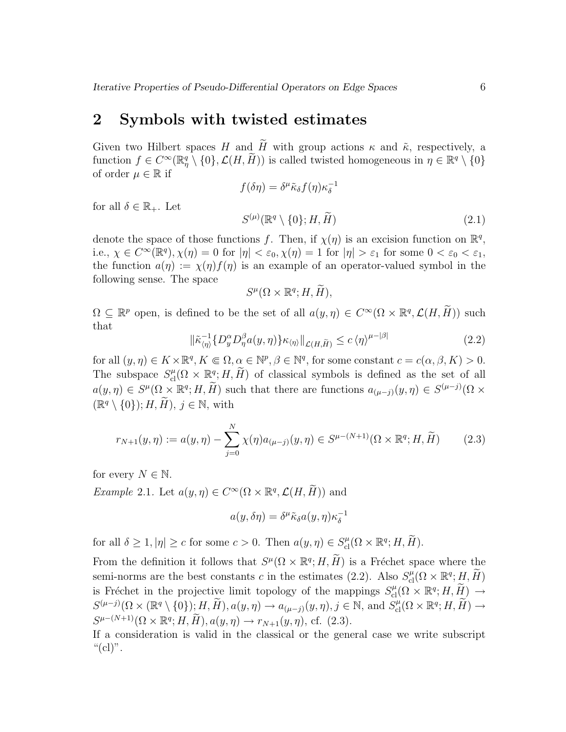#### 2 Symbols with twisted estimates

Given two Hilbert spaces H and  $\tilde{H}$  with group actions  $\kappa$  and  $\tilde{\kappa}$ , respectively, a function  $f \in C^{\infty}(\mathbb{R}^q_\eta \setminus \{0\}, \mathcal{L}(H, \widetilde{H}))$  is called twisted homogeneous in  $\eta \in \mathbb{R}^q \setminus \{0\}$ of order  $\mu \in \mathbb{R}$  if

$$
f(\delta \eta) = \delta^{\mu} \tilde{\kappa}_{\delta} f(\eta) \kappa_{\delta}^{-1}
$$

$$
S^{(\mu)}(\mathbb{R}^q \setminus \{0\}; H, \tilde{H})
$$
(2.1)

denote the space of those functions f. Then, if  $\chi(\eta)$  is an excision function on  $\mathbb{R}^q$ , i.e.,  $\chi \in C^{\infty}(\mathbb{R}^q)$ ,  $\chi(\eta) = 0$  for  $|\eta| < \varepsilon_0$ ,  $\chi(\eta) = 1$  for  $|\eta| > \varepsilon_1$  for some  $0 < \varepsilon_0 < \varepsilon_1$ , the function  $a(\eta) := \chi(\eta) f(\eta)$  is an example of an operator-valued symbol in the following sense. The space

$$
S^{\mu}(\Omega\times\mathbb{R}^q;H,\widetilde{H}),
$$

 $\Omega \subseteq \mathbb{R}^p$  open, is defined to be the set of all  $a(y, \eta) \in C^\infty(\Omega \times \mathbb{R}^q, \mathcal{L}(H, \widetilde{H}))$  such that

$$
\|\tilde{\kappa}_{\langle\eta\rangle}^{-1}\{D_y^{\alpha}D_{\eta}^{\beta}a(y,\eta)\}\kappa_{\langle\eta\rangle}\|_{\mathcal{L}(H,\widetilde{H})} \le c\,\langle\eta\rangle^{\mu-|\beta|} \tag{2.2}
$$

for all  $(y, \eta) \in K \times \mathbb{R}^q, K \Subset \Omega, \alpha \in \mathbb{N}^p, \beta \in \mathbb{N}^q$ , for some constant  $c = c(\alpha, \beta, K) > 0$ . The subspace  $S_{\text{cl}}^{\mu}(\Omega \times \mathbb{R}^q; H, \tilde{H})$  of classical symbols is defined as the set of all  $a(y, \eta) \in S^{\mu}(\Omega \times \mathbb{R}^q; H, \widetilde{H})$  such that there are functions  $a_{(\mu-j)}(y, \eta) \in S^{(\mu-j)}(\Omega \times$  $(\mathbb{R}^q \setminus \{0\}); H, \widetilde{H}), j \in \mathbb{N}, \text{ with}$ 

$$
r_{N+1}(y,\eta) := a(y,\eta) - \sum_{j=0}^{N} \chi(\eta) a_{(\mu-j)}(y,\eta) \in S^{\mu-(N+1)}(\Omega \times \mathbb{R}^q; H, \widetilde{H})
$$
 (2.3)

for every  $N \in \mathbb{N}$ .

for all  $\delta \in \mathbb{R}_+$ . Let

*Example 2.1.* Let  $a(y, \eta) \in C^{\infty}(\Omega \times \mathbb{R}^q, \mathcal{L}(H, \tilde{H}))$  and

$$
a(y,\delta\eta) = \delta^{\mu}\tilde{\kappa}_{\delta}a(y,\eta)\kappa_{\delta}^{-1}
$$

for all  $\delta \geq 1, |\eta| \geq c$  for some  $c > 0$ . Then  $a(y, \eta) \in S_{\text{cl}}^{\mu}(\Omega \times \mathbb{R}^q; H, \widetilde{H})$ .

From the definition it follows that  $S^{\mu}(\Omega \times \mathbb{R}^q; H, \tilde{H})$  is a Fréchet space where the semi-norms are the best constants c in the estimates (2.2). Also  $S_{\text{cl}}^{\mu}(\Omega \times \mathbb{R}^q; H, \widetilde{H})$ is Fréchet in the projective limit topology of the mappings  $S_{\text{cl}}^{\mu}(\Omega \times \mathbb{R}^q; H, \tilde{H}) \rightarrow$  $S^{(\mu-j)}(\Omega \times (\mathbb{R}^q \setminus \{0\}); H, \widetilde{H}), a(y, \eta) \to a_{(\mu-j)}(y, \eta), j \in \mathbb{N}, \text{ and } S_{\text{cl}}^{\mu}(\Omega \times \mathbb{R}^q; H, \widetilde{H}) \to$  $S^{\mu-(N+1)}(\Omega \times \mathbb{R}^q; H, \widetilde{H}), a(y, \eta) \to r_{N+1}(y, \eta), \text{ cf. } (2.3).$ 

If a consideration is valid in the classical or the general case we write subscript " $^{\text{``}}(\text{cl})$ ".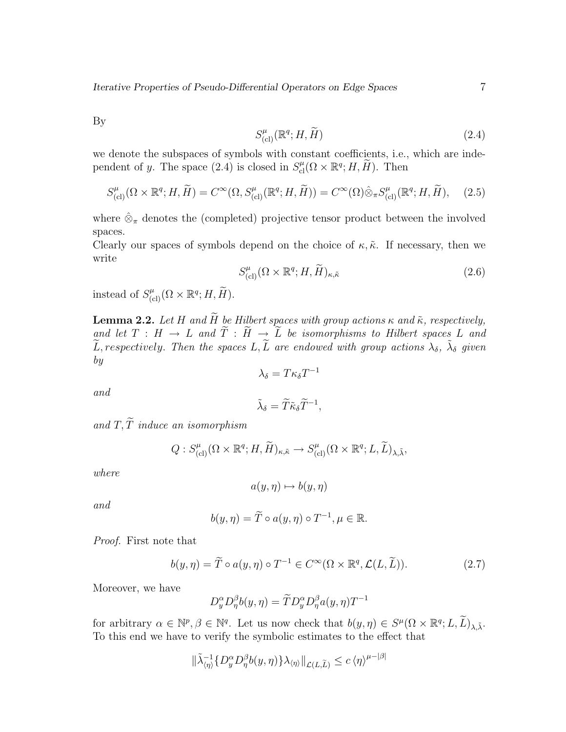Iterative Properties of Pseudo-Differential Operators on Edge Spaces 7

By

$$
S_{\text{(cl)}}^{\mu}(\mathbb{R}^q; H, \widetilde{H})\tag{2.4}
$$

we denote the subspaces of symbols with constant coefficients, i.e., which are independent of y. The space (2.4) is closed in  $S_{\text{cl}}^{\mu}(\Omega \times \mathbb{R}^q; H, \widetilde{H})$ . Then

$$
S_{\text{(cl)}}^{\mu}(\Omega \times \mathbb{R}^q; H, \widetilde{H}) = C^{\infty}(\Omega, S_{\text{(cl)}}^{\mu}(\mathbb{R}^q; H, \widetilde{H})) = C^{\infty}(\Omega) \hat{\otimes}_{\pi} S_{\text{(cl)}}^{\mu}(\mathbb{R}^q; H, \widetilde{H}), \quad (2.5)
$$

where  $\hat{\otimes}_{\pi}$  denotes the (completed) projective tensor product between the involved spaces.

Clearly our spaces of symbols depend on the choice of  $\kappa$ ,  $\tilde{\kappa}$ . If necessary, then we write

$$
S_{\text{(cl)}}^{\mu}(\Omega \times \mathbb{R}^q; H, \widetilde{H})_{\kappa, \tilde{\kappa}}
$$
\n(2.6)

instead of  $S_{\text{(cl)}}^{\mu}(\Omega \times \mathbb{R}^q; H, \widetilde{H}).$ 

**Lemma 2.2.** Let H and  $\widetilde{H}$  be Hilbert spaces with group actions  $\kappa$  and  $\tilde{\kappa}$ , respectively, and let  $T : H \to L$  and  $\widetilde{T} : \widetilde{H} \to \widetilde{L}$  be isomorphisms to Hilbert spaces L and  $\widetilde{L}$ , respectively. Then the spaces  $L, \widetilde{L}$  are endowed with group actions  $\lambda_{\delta}$ ,  $\widetilde{\lambda}_{\delta}$  given by  $\lambda_{\delta} = T \kappa_{\delta} T^{-1}$ 

and

$$
\tilde{\lambda}_{\delta} = \tilde{T}\tilde{\kappa}_{\delta}\tilde{T}^{-1},
$$

and  $T, \widetilde{T}$  induce an isomorphism

$$
Q: S^{\mu}_{(\text{cl})}(\Omega \times \mathbb{R}^q; H, \widetilde{H})_{\kappa, \tilde{\kappa}} \to S^{\mu}_{(\text{cl})}(\Omega \times \mathbb{R}^q; L, \widetilde{L})_{\lambda, \tilde{\lambda}},
$$

where

$$
a(y,\eta) \mapsto b(y,\eta)
$$

and

$$
b(y, \eta) = \widetilde{T} \circ a(y, \eta) \circ T^{-1}, \mu \in \mathbb{R}.
$$

Proof. First note that

$$
b(y,\eta) = \widetilde{T} \circ a(y,\eta) \circ T^{-1} \in C^{\infty}(\Omega \times \mathbb{R}^q, \mathcal{L}(L,\widetilde{L})).
$$
\n(2.7)

Moreover, we have

$$
D_y^{\alpha}D_{\eta}^{\beta}b(y,\eta)=\widetilde{T}D_y^{\alpha}D_{\eta}^{\beta}a(y,\eta)T^{-1}
$$

for arbitrary  $\alpha \in \mathbb{N}^p, \beta \in \mathbb{N}^q$ . Let us now check that  $b(y, \eta) \in S^{\mu}(\Omega \times \mathbb{R}^q; L, \widetilde{L})_{\lambda, \tilde{\lambda}}$ . To this end we have to verify the symbolic estimates to the effect that

$$
\|\tilde{\lambda}_{\langle \eta \rangle}^{-1}\{D_y^{\alpha}D_{\eta}^{\beta}b(y,\eta)\}{\lambda}_{\langle \eta \rangle}\|_{\mathcal{L}(L,\widetilde{L})} \leq c\,\langle \eta \rangle^{\mu-|\beta|}
$$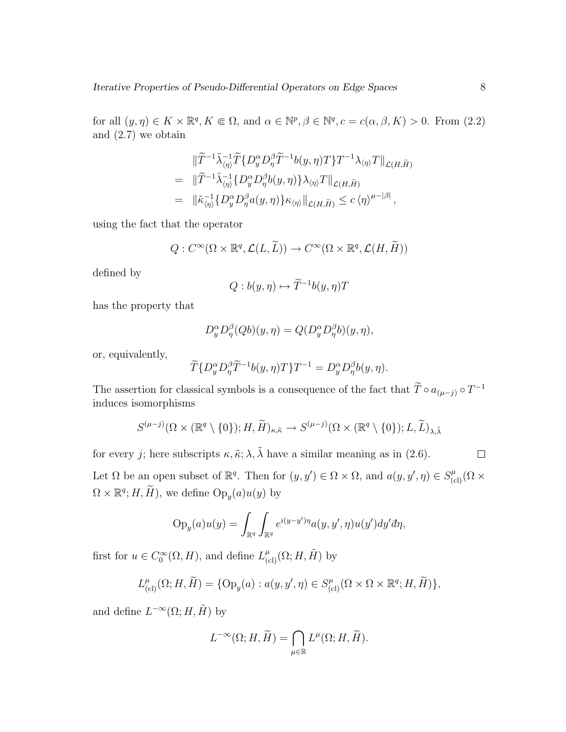for all  $(y, \eta) \in K \times \mathbb{R}^q, K \Subset \Omega$ , and  $\alpha \in \mathbb{N}^p, \beta \in \mathbb{N}^q, c = c(\alpha, \beta, K) > 0$ . From  $(2.2)$ and (2.7) we obtain

$$
\begin{split}\n&\|\widetilde{T}^{-1}\widetilde{\lambda}_{\langle\eta\rangle}^{-1}\widetilde{T}\{D_y^{\alpha}D_{\eta}^{\beta}\widetilde{T}^{-1}b(y,\eta)T\}T^{-1}\lambda_{\langle\eta\rangle}T\|_{\mathcal{L}(H,\widetilde{H})} \\
&= \|\widetilde{T}^{-1}\widetilde{\lambda}_{\langle\eta\rangle}^{-1}\{D_y^{\alpha}D_{\eta}^{\beta}b(y,\eta)\}\lambda_{\langle\eta\rangle}T\|_{\mathcal{L}(H,\widetilde{H})} \\
&= \|\widetilde{\kappa}_{\langle\eta\rangle}^{-1}\{D_y^{\alpha}D_{\eta}^{\beta}a(y,\eta)\}\kappa_{\langle\eta\rangle}\|_{\mathcal{L}(H,\widetilde{H})} \leq c\,\langle\eta\rangle^{\mu-|\beta|}\,,\n\end{split}
$$

using the fact that the operator

$$
Q: C^{\infty}(\Omega \times \mathbb{R}^q, \mathcal{L}(L, \widetilde{L})) \to C^{\infty}(\Omega \times \mathbb{R}^q, \mathcal{L}(H, \widetilde{H}))
$$

defined by

$$
Q: b(y, \eta) \mapsto \widetilde{T}^{-1}b(y, \eta)T
$$

has the property that

$$
D_y^{\alpha}D_{\eta}^{\beta}(Qb)(y,\eta) = Q(D_y^{\alpha}D_{\eta}^{\beta}b)(y,\eta),
$$

or, equivalently,

$$
\widetilde{T}\lbrace D_y^{\alpha}D_{\eta}^{\beta}\widetilde{T}^{-1}b(y,\eta)T\rbrace T^{-1} = D_y^{\alpha}D_{\eta}^{\beta}b(y,\eta).
$$

The assertion for classical symbols is a consequence of the fact that  $\widetilde{T} \circ a_{(\mu-j)} \circ T^{-1}$ induces isomorphisms

$$
S^{(\mu-j)}(\Omega\times(\mathbb{R}^q\setminus\{0\});H,\widetilde{H})_{\kappa,\tilde{\kappa}}\to S^{(\mu-j)}(\Omega\times(\mathbb{R}^q\setminus\{0\});L,\widetilde{L})_{\lambda,\tilde{\lambda}}
$$

for every j; here subscripts  $\kappa$ ,  $\tilde{\kappa}$ ;  $\lambda$ ,  $\tilde{\lambda}$  have a similar meaning as in (2.6).

 $\Box$ 

Let  $\Omega$  be an open subset of  $\mathbb{R}^q$ . Then for  $(y, y') \in \Omega \times \Omega$ , and  $a(y, y', \eta) \in S_{(cl)}^{\mu}(\Omega \times$  $\Omega \times \mathbb{R}^q$ ;  $H, \widetilde{H}$ , we define  $\text{Op}_y(a)u(y)$  by

$$
Op_y(a)u(y) = \int_{\mathbb{R}^q} \int_{\mathbb{R}^q} e^{i(y-y')\eta} a(y, y', \eta) u(y') dy' d\eta,
$$

first for  $u \in C_0^{\infty}$  $U_0^{\infty}(\Omega, H)$ , and define  $L_{\text{(cl)}}^{\mu}(\Omega; H, \tilde{H})$  by

$$
L^\mu_{\text{(cl)}}(\Omega; H, \widetilde H) = \{ \operatorname{Op}_y(a) : a(y, y', \eta) \in S^\mu_{\text{(cl)}}(\Omega \times \Omega \times \mathbb{R}^q; H, \widetilde H) \},
$$

and define  $L^{-\infty}(\Omega; H, \tilde{H})$  by

$$
L^{-\infty}(\Omega;H,\widetilde{H})=\bigcap_{\mu\in\mathbb{R}}L^{\mu}(\Omega;H,\widetilde{H}).
$$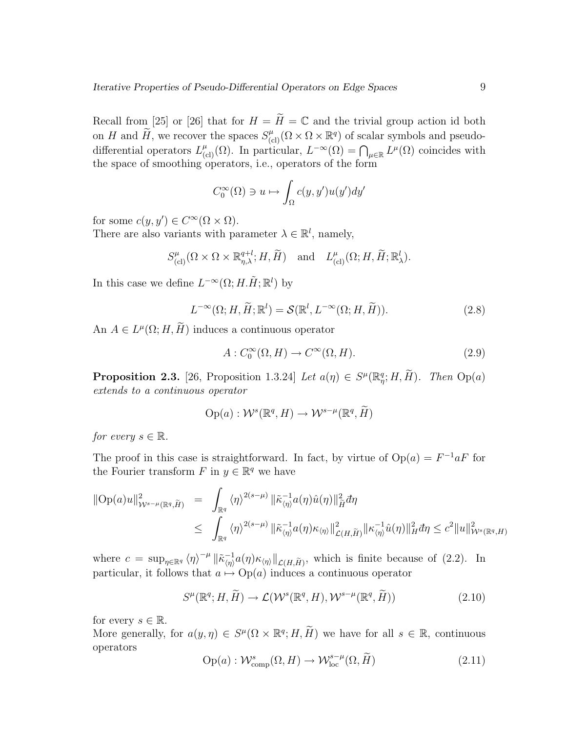Recall from [25] or [26] that for  $H = \widetilde{H} = \mathbb{C}$  and the trivial group action id both on H and  $\widetilde{H}$ , we recover the spaces  $S_{(cl)}^{\mu}(\Omega \times \Omega \times \mathbb{R}^q)$  of scalar symbols and pseudodifferential operators  $L_{(cl)}^{\mu}(\Omega)$ . In particular,  $L^{-\infty}(\Omega) = \bigcap_{\mu \in \mathbb{R}} L^{\mu}(\Omega)$  coincides with the space of smoothing operators, i.e., operators of the form

$$
C_0^{\infty}(\Omega) \ni u \mapsto \int_{\Omega} c(y, y') u(y') dy'
$$

for some  $c(y, y') \in C^{\infty}(\Omega \times \Omega)$ .

There are also variants with parameter  $\lambda \in \mathbb{R}^l$ , namely,

$$
S_{\text{(cl)}}^{\mu}(\Omega \times \Omega \times \mathbb{R}_{\eta,\lambda}^{q+l}; H, \widetilde{H}) \text{ and } L_{\text{(cl)}}^{\mu}(\Omega; H, \widetilde{H}; \mathbb{R}_{\lambda}^{l}).
$$

In this case we define  $L^{-\infty}(\Omega; H. \tilde{H}; \mathbb{R}^l)$  by

$$
L^{-\infty}(\Omega; H, \widetilde{H}; \mathbb{R}^l) = \mathcal{S}(\mathbb{R}^l, L^{-\infty}(\Omega; H, \widetilde{H})).
$$
\n(2.8)

An  $A \in L^{\mu}(\Omega; H, \tilde{H})$  induces a continuous operator

$$
A: C_0^{\infty}(\Omega, H) \to C^{\infty}(\Omega, H). \tag{2.9}
$$

**Proposition 2.3.** [26, Proposition 1.3.24] Let  $a(\eta) \in S^{\mu}(\mathbb{R}_{\eta}^q; H, \tilde{H})$ . Then  $Op(a)$ extends to a continuous operator

$$
\mathrm{Op}(a): \mathcal{W}^s(\mathbb{R}^q, H) \to \mathcal{W}^{s-\mu}(\mathbb{R}^q, \widetilde{H})
$$

for every  $s \in \mathbb{R}$ .

The proof in this case is straightforward. In fact, by virtue of  $Op(a) = F^{-1}aF$  for the Fourier transform  $F$  in  $y \in \mathbb{R}^q$  we have

$$
\|Op(a)u\|_{\mathcal{W}^{s-\mu}(\mathbb{R}^q,\widetilde{H})}^2 = \int_{\mathbb{R}^q} \langle \eta \rangle^{2(s-\mu)} \|\widetilde{\kappa}_{\langle \eta \rangle}^{-1}a(\eta)\widehat{u}(\eta)\|_{\widetilde{H}}^2 d\eta
$$
  

$$
\leq \int_{\mathbb{R}^q} \langle \eta \rangle^{2(s-\mu)} \|\widetilde{\kappa}_{\langle \eta \rangle}^{-1}a(\eta)\kappa_{\langle \eta \rangle}\|_{\mathcal{L}(H,\widetilde{H})}^2 \|\kappa_{\langle \eta \rangle}^{-1}\widehat{u}(\eta)\|_{H}^2 d\eta \leq c^2 \|u\|_{\mathcal{W}^s(\mathbb{R}^q,H)}^2
$$

where  $c = \sup_{\eta \in \mathbb{R}^q} \langle \eta \rangle^{-\mu} \|\tilde{\kappa}_{\langle \eta \rangle}^{-1}\|$  $\lim_{\langle \eta \rangle} a(\eta) \kappa_{\langle \eta \rangle} \|_{\mathcal{L}(H,\widetilde{H})}$ , which is finite because of (2.2). In particular, it follows that  $a \mapsto \text{Op}(a)$  induces a continuous operator

$$
S^{\mu}(\mathbb{R}^{q};H,\widetilde{H}) \to \mathcal{L}(\mathcal{W}^{s}(\mathbb{R}^{q},H),\mathcal{W}^{s-\mu}(\mathbb{R}^{q},\widetilde{H}))
$$
\n(2.10)

for every  $s \in \mathbb{R}$ .

More generally, for  $a(y, \eta) \in S^{\mu}(\Omega \times \mathbb{R}^q; H, \tilde{H})$  we have for all  $s \in \mathbb{R}$ , continuous operators

$$
Op(a): \mathcal{W}^s_{\text{comp}}(\Omega, H) \to \mathcal{W}^{s-\mu}_{\text{loc}}(\Omega, \widetilde{H})
$$
\n(2.11)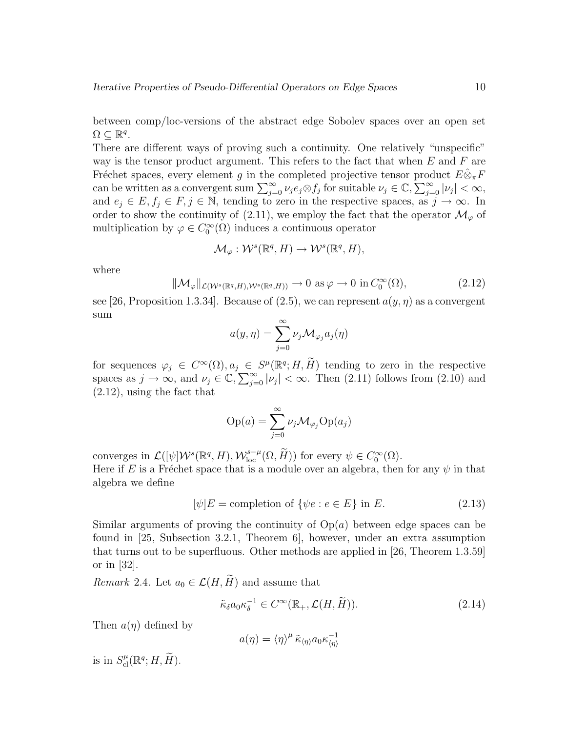between comp/loc-versions of the abstract edge Sobolev spaces over an open set  $\Omega \subseteq \mathbb{R}^q$ .

There are different ways of proving such a continuity. One relatively "unspecific" way is the tensor product argument. This refers to the fact that when  $E$  and  $F$  are Fréchet spaces, every element g in the completed projective tensor product  $E \hat{\otimes}_{\pi} F$ can be written as a convergent sum  $\sum_{j=0}^{\infty} \nu_j e_j \otimes f_j$  for suitable  $\nu_j \in \mathbb{C}, \sum_{j=0}^{\infty} |\nu_j| < \infty$ , and  $e_j \in E, f_j \in F, j \in \mathbb{N}$ , tending to zero in the respective spaces, as  $j \to \infty$ . In order to show the continuity of (2.11), we employ the fact that the operator  $\mathcal{M}_{\varphi}$  of multiplication by  $\varphi \in C_0^{\infty}$  $\int_0^\infty$  ( $\Omega$ ) induces a continuous operator

$$
\mathcal{M}_{\varphi}: \mathcal{W}^s(\mathbb{R}^q, H) \to \mathcal{W}^s(\mathbb{R}^q, H),
$$

where

$$
\|\mathcal{M}_{\varphi}\|_{\mathcal{L}(\mathcal{W}^s(\mathbb{R}^q,H),\mathcal{W}^s(\mathbb{R}^q,H))} \to 0 \text{ as } \varphi \to 0 \text{ in } C_0^{\infty}(\Omega), \tag{2.12}
$$

see [26, Proposition 1.3.34]. Because of (2.5), we can represent  $a(y, \eta)$  as a convergent sum

$$
a(y,\eta) = \sum_{j=0}^{\infty} \nu_j \mathcal{M}_{\varphi_j} a_j(\eta)
$$

for sequences  $\varphi_j \in C^{\infty}(\Omega), a_j \in S^{\mu}(\mathbb{R}^q; H, \widetilde{H})$  tending to zero in the respective spaces as  $j \to \infty$ , and  $\nu_j \in \mathbb{C}, \sum_{j=0}^{\infty} |\nu_j| < \infty$ . Then (2.11) follows from (2.10) and (2.12), using the fact that

$$
Op(a) = \sum_{j=0}^{\infty} \nu_j \mathcal{M}_{\varphi_j} Op(a_j)
$$

converges in  $\mathcal{L}([\psi]\mathcal{W}^s(\mathbb{R}^q, H), \mathcal{W}_{\text{loc}}^{s-\mu}(\Omega, \widetilde{H}))$  for every  $\psi \in C_0^{\infty}$  $\int_{0}^{\infty}(\Omega).$ Here if E is a Fréchet space that is a module over an algebra, then for any  $\psi$  in that algebra we define

$$
[\psi]E = \text{completion of } \{\psi e : e \in E\} \text{ in } E. \tag{2.13}
$$

Similar arguments of proving the continuity of  $Op(a)$  between edge spaces can be found in [25, Subsection 3.2.1, Theorem 6], however, under an extra assumption that turns out to be superfluous. Other methods are applied in [26, Theorem 1.3.59] or in [32].

*Remark* 2.4. Let  $a_0 \in \mathcal{L}(H, \tilde{H})$  and assume that

$$
\tilde{\kappa}_{\delta} a_0 \kappa_{\delta}^{-1} \in C^{\infty}(\mathbb{R}_+, \mathcal{L}(H, \tilde{H})).
$$
\n(2.14)

Then  $a(\eta)$  defined by

$$
a(\eta) = \langle \eta \rangle^{\mu} \tilde{\kappa}_{\langle \eta \rangle} a_0 \kappa_{\langle \eta \rangle}^{-1}
$$

is in  $S^{\mu}_{\text{cl}}(\mathbb{R}^q; H, \tilde{H}).$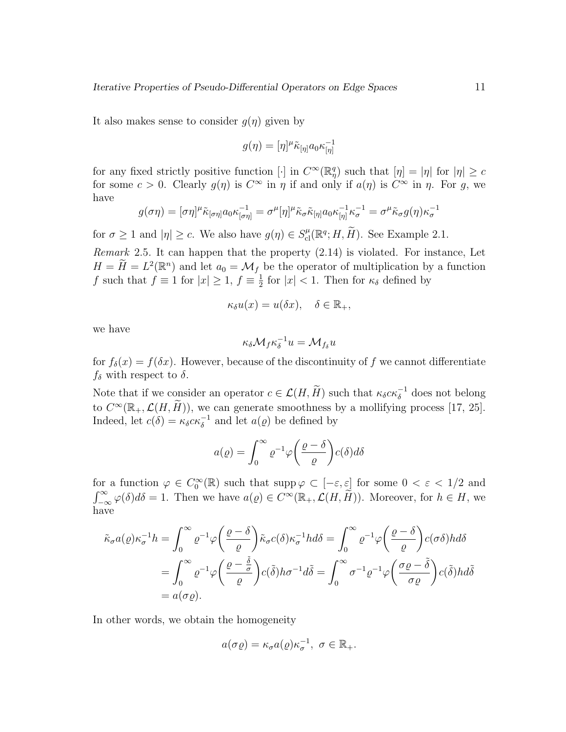It also makes sense to consider  $g(\eta)$  given by

$$
g(\eta) = [\eta]^{\mu} \tilde{\kappa}_{[\eta]} a_0 \kappa_{[\eta]}^{-1}
$$

for any fixed strictly positive function [·] in  $C^{\infty}(\mathbb{R}^q_\eta)$  such that  $[\eta] = |\eta|$  for  $|\eta| \geq c$ for some  $c > 0$ . Clearly  $g(\eta)$  is  $C^{\infty}$  in  $\eta$  if and only if  $a(\eta)$  is  $C^{\infty}$  in  $\eta$ . For g, we have

$$
g(\sigma\eta) = [\sigma\eta]^{\mu}\tilde{\kappa}_{[\sigma\eta]}a_0\kappa_{[\sigma\eta]}^{-1} = \sigma^{\mu}[\eta]^{\mu}\tilde{\kappa}_{\sigma}\tilde{\kappa}_{[\eta]}a_0\kappa_{[\eta]}^{-1}\kappa_{\sigma}^{-1} = \sigma^{\mu}\tilde{\kappa}_{\sigma}g(\eta)\kappa_{\sigma}^{-1}
$$

for  $\sigma \ge 1$  and  $|\eta| \ge c$ . We also have  $g(\eta) \in S_{\text{cl}}^{\mu}(\mathbb{R}^q; H, \widetilde{H})$ . See Example 2.1.

Remark 2.5. It can happen that the property (2.14) is violated. For instance, Let  $H = \widetilde{H} = L^2(\mathbb{R}^n)$  and let  $a_0 = \mathcal{M}_f$  be the operator of multiplication by a function f such that  $f \equiv 1$  for  $|x| \geq 1$ ,  $f \equiv \frac{1}{2}$  $\frac{1}{2}$  for  $|x| < 1$ . Then for  $\kappa_{\delta}$  defined by

$$
\kappa_{\delta}u(x) = u(\delta x), \quad \delta \in \mathbb{R}_+,
$$

we have

$$
\kappa_{\delta} \mathcal{M}_f \kappa_{\delta}^{-1} u = \mathcal{M}_{f_{\delta}} u
$$

for  $f_{\delta}(x) = f(\delta x)$ . However, because of the discontinuity of f we cannot differentiate  $f_{\delta}$  with respect to  $\delta$ .

Note that if we consider an operator  $c \in \mathcal{L}(H, \tilde{H})$  such that  $\kappa_{\delta} c \kappa_{\delta}^{-1}$  does not belong to  $C^{\infty}(\mathbb{R}_+,\mathcal{L}(H,\widetilde{H}))$ , we can generate smoothness by a mollifying process [17, 25]. Indeed, let  $c(\delta) = \kappa_{\delta} c \kappa_{\delta}^{-1}$  and let  $a(\varrho)$  be defined by

$$
a(\varrho) = \int_0^\infty \varrho^{-1} \varphi \bigg(\frac{\varrho - \delta}{\varrho}\bigg) c(\delta) d\delta
$$

for a function  $\varphi \in C_0^{\infty}$  $\mathcal{O}_0^{\infty}(\mathbb{R})$  such that supp  $\varphi \subset [-\varepsilon, \varepsilon]$  for some  $0 < \varepsilon < 1/2$  and  $\int_{-\infty}^{\infty} \varphi(\delta) d\delta = 1$ . Then we have  $a(\varrho) \in C^{\infty}(\mathbb{R}_+, \mathcal{L}(H, \tilde{H}))$ . Moreover, for  $h \in H$ , we have

$$
\tilde{\kappa}_{\sigma} a(\varrho) \kappa_{\sigma}^{-1} h = \int_0^{\infty} \varrho^{-1} \varphi \left( \frac{\varrho - \delta}{\varrho} \right) \tilde{\kappa}_{\sigma} c(\delta) \kappa_{\sigma}^{-1} h d\delta = \int_0^{\infty} \varrho^{-1} \varphi \left( \frac{\varrho - \delta}{\varrho} \right) c(\sigma \delta) h d\delta
$$

$$
= \int_0^{\infty} \varrho^{-1} \varphi \left( \frac{\varrho - \frac{\delta}{\sigma}}{\varrho} \right) c(\tilde{\delta}) h \sigma^{-1} d\tilde{\delta} = \int_0^{\infty} \sigma^{-1} \varrho^{-1} \varphi \left( \frac{\sigma \varrho - \tilde{\delta}}{\sigma \varrho} \right) c(\tilde{\delta}) h d\tilde{\delta}
$$

$$
= a(\sigma \varrho).
$$

In other words, we obtain the homogeneity

$$
a(\sigma\varrho)=\kappa_{\sigma}a(\varrho)\kappa_{\sigma}^{-1},\ \sigma\in\mathbb{R}_+.
$$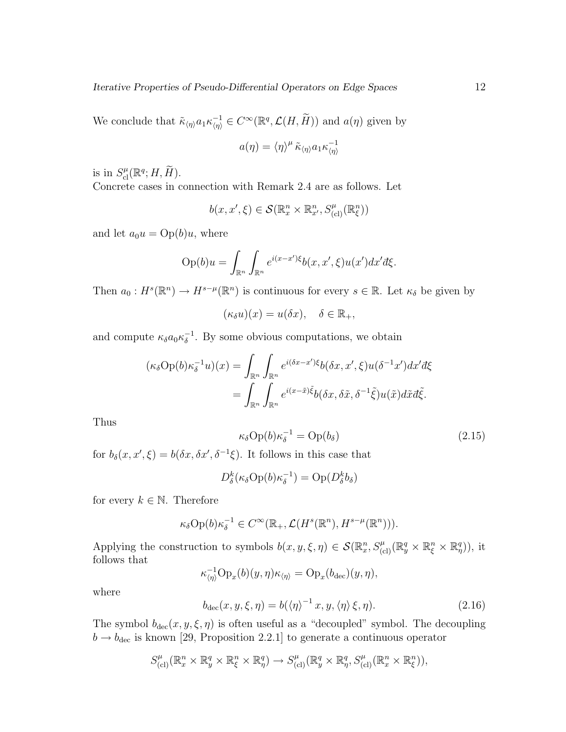We conclude that  $\tilde{\kappa}_{\langle \eta \rangle} a_1 \kappa_{\langle \eta \rangle}^{-1} \in C^{\infty}(\mathbb{R}^q, \mathcal{L}(H, \tilde{H}))$  and  $a(\eta)$  given by

$$
a(\eta) = \langle \eta \rangle^{\mu} \tilde{\kappa}_{\langle \eta \rangle} a_1 \kappa_{\langle \eta \rangle}^{-1}
$$

is in  $S^{\mu}_{\text{cl}}(\mathbb{R}^q; H, \widetilde{H}).$ 

Concrete cases in connection with Remark 2.4 are as follows. Let

$$
b(x, x', \xi) \in \mathcal{S}(\mathbb{R}^n_x \times \mathbb{R}^n_{x'}, S^{\mu}_{(cl)}(\mathbb{R}^n_{\xi}))
$$

and let  $a_0u = \text{Op}(b)u$ , where

$$
Op(b)u = \int_{\mathbb{R}^n} \int_{\mathbb{R}^n} e^{i(x-x')\xi} b(x, x', \xi) u(x') dx' d\xi.
$$

Then  $a_0: H^s(\mathbb{R}^n) \to H^{s-\mu}(\mathbb{R}^n)$  is continuous for every  $s \in \mathbb{R}$ . Let  $\kappa_\delta$  be given by

$$
(\kappa_{\delta} u)(x) = u(\delta x), \quad \delta \in \mathbb{R}_+,
$$

and compute  $\kappa_{\delta} a_0 \kappa_{\delta}^{-1}$  $\delta^{-1}$ . By some obvious computations, we obtain

$$
(\kappa_{\delta} \text{Op}(b)\kappa_{\delta}^{-1}u)(x) = \int_{\mathbb{R}^n} \int_{\mathbb{R}^n} e^{i(\delta x - x')\xi} b(\delta x, x', \xi) u(\delta^{-1}x') dx' d\xi
$$
  
= 
$$
\int_{\mathbb{R}^n} \int_{\mathbb{R}^n} e^{i(x - \tilde{x})\tilde{\xi}} b(\delta x, \delta \tilde{x}, \delta^{-1}\tilde{\xi}) u(\tilde{x}) d\tilde{x} d\tilde{\xi}.
$$

Thus

$$
\kappa_{\delta} \text{Op}(b) \kappa_{\delta}^{-1} = \text{Op}(b_{\delta}) \tag{2.15}
$$

for  $b_{\delta}(x, x', \xi) = b(\delta x, \delta x', \delta^{-1}\xi)$ . It follows in this case that

$$
D_{\delta}^{k}(\kappa_{\delta}\text{Op}(b)\kappa_{\delta}^{-1})=\text{Op}(D_{\delta}^{k}b_{\delta})
$$

for every  $k \in \mathbb{N}$ . Therefore

$$
\kappa_{\delta} \text{Op}(b) \kappa_{\delta}^{-1} \in C^{\infty}(\mathbb{R}_+, \mathcal{L}(H^s(\mathbb{R}^n), H^{s-\mu}(\mathbb{R}^n))).
$$

Applying the construction to symbols  $b(x, y, \xi, \eta) \in \mathcal{S}(\mathbb{R}^n_x, S^{\mu}_{(cl)}(\mathbb{R}^q_y \times \mathbb{R}^n_\xi \times \mathbb{R}^q_\eta))$ , it follows that

$$
\kappa_{\langle \eta \rangle}^{-1} \text{Op}_x(b)(y, \eta) \kappa_{\langle \eta \rangle} = \text{Op}_x(b_{\text{dec}})(y, \eta),
$$

where

$$
b_{\text{dec}}(x, y, \xi, \eta) = b(\langle \eta \rangle^{-1} x, y, \langle \eta \rangle \xi, \eta). \tag{2.16}
$$

The symbol  $b_{\text{dec}}(x, y, \xi, \eta)$  is often useful as a "decoupled" symbol. The decoupling  $b \rightarrow b_{\text{dec}}$  is known [29, Proposition 2.2.1] to generate a continuous operator

$$
S_{\text{(cl)}}^{\mu}(\mathbb{R}^n_x \times \mathbb{R}^q_y \times \mathbb{R}^n_{\xi} \times \mathbb{R}^q_{\eta}) \to S_{\text{(cl)}}^{\mu}(\mathbb{R}^q_y \times \mathbb{R}^q_{\eta}, S_{\text{(cl)}}^{\mu}(\mathbb{R}^n_x \times \mathbb{R}^n_{\xi})),
$$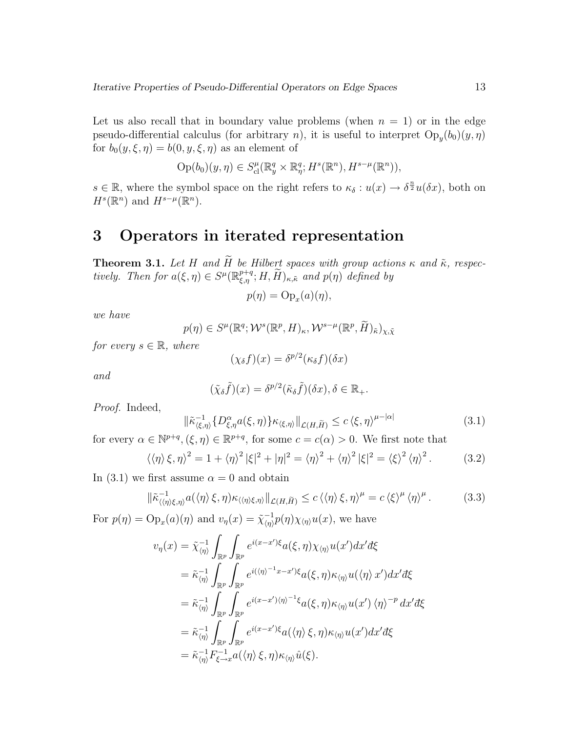Let us also recall that in boundary value problems (when  $n = 1$ ) or in the edge pseudo-differential calculus (for arbitrary n), it is useful to interpret  $Op_y(b_0)(y,\eta)$ for  $b_0(y,\xi,\eta) = b(0,y,\xi,\eta)$  as an element of

$$
Op(b_0)(y,\eta) \in S_{\text{cl}}^{\mu}(\mathbb{R}^q_y \times \mathbb{R}^q_\eta; H^s(\mathbb{R}^n), H^{s-\mu}(\mathbb{R}^n)),
$$

 $s \in \mathbb{R}$ , where the symbol space on the right refers to  $\kappa_{\delta}: u(x) \to \delta^{\frac{n}{2}}u(\delta x)$ , both on  $H^s(\mathbb{R}^n)$  and  $H^{s-\mu}(\mathbb{R}^n)$ .

### 3 Operators in iterated representation

**Theorem 3.1.** Let H and  $\widetilde{H}$  be Hilbert spaces with group actions  $\kappa$  and  $\widetilde{\kappa}$ , respectively. Then for  $a(\xi, \eta) \in S^{\mu}(\mathbb{R}^{p+q}_{\xi,\eta}; H, \widetilde{H})_{\kappa,\tilde{\kappa}}$  and  $p(\eta)$  defined by

$$
p(\eta) = \mathrm{Op}_x(a)(\eta),
$$

we have

$$
p(\eta) \in S^{\mu}(\mathbb{R}^q; \mathcal{W}^s(\mathbb{R}^p, H)_{\kappa}, \mathcal{W}^{s-\mu}(\mathbb{R}^p, \widetilde{H})_{\tilde{\kappa}})_{\chi, \tilde{\chi}}
$$

for every  $s \in \mathbb{R}$ , where

$$
(\chi_{\delta}f)(x) = \delta^{p/2}(\kappa_{\delta}f)(\delta x)
$$

and

$$
(\tilde{\chi}_{\delta}\tilde{f})(x) = \delta^{p/2}(\tilde{\kappa}_{\delta}\tilde{f})(\delta x), \delta \in \mathbb{R}_{+}.
$$

Proof. Indeed,

$$
\|\tilde{\kappa}_{\langle\xi,\eta\rangle}^{-1}\{D_{\xi,\eta}^{\alpha}a(\xi,\eta)\}\kappa_{\langle\xi,\eta\rangle}\|_{\mathcal{L}(H,\tilde{H})} \leq c\,\langle\xi,\eta\rangle^{\mu-|\alpha|} \tag{3.1}
$$

for every  $\alpha \in \mathbb{N}^{p+q}, (\xi, \eta) \in \mathbb{R}^{p+q}$ , for some  $c = c(\alpha) > 0$ . We first note that

$$
\langle\langle\eta\rangle\,\xi,\eta\rangle^2 = 1 + \langle\eta\rangle^2\,|\xi|^2 + |\eta|^2 = \langle\eta\rangle^2 + \langle\eta\rangle^2\,|\xi|^2 = \langle\xi\rangle^2\,\langle\eta\rangle^2. \tag{3.2}
$$

In (3.1) we first assume  $\alpha = 0$  and obtain

$$
\|\tilde{\kappa}_{\langle\langle\eta\rangle\xi,\eta\rangle}^{-1}a(\langle\eta\rangle\xi,\eta)\kappa_{\langle\langle\eta\rangle\xi,\eta\rangle}\|_{\mathcal{L}(H,\widetilde{H})}\leq c\,\langle\langle\eta\rangle\xi,\eta\rangle^{\mu}=c\,\langle\xi\rangle^{\mu}\,\langle\eta\rangle^{\mu}.
$$
 (3.3)

For  $p(\eta) = \text{Op}_x(a)(\eta)$  and  $v_\eta(x) = \tilde{\chi}_{\langle \eta \rangle}^{-1}$  $\frac{1}{\langle \eta \rangle} p(\eta) \chi_{\langle \eta \rangle} u(x)$ , we have

$$
v_{\eta}(x) = \tilde{\chi}_{\langle \eta \rangle}^{-1} \int_{\mathbb{R}^{p}} \int_{\mathbb{R}^{p}} e^{i(x - x')\xi} a(\xi, \eta) \chi_{\langle \eta \rangle} u(x') dx' d\xi
$$
  
\n
$$
= \tilde{\kappa}_{\langle \eta \rangle}^{-1} \int_{\mathbb{R}^{p}} \int_{\mathbb{R}^{p}} e^{i(\langle \eta \rangle^{-1}x - x')\xi} a(\xi, \eta) \kappa_{\langle \eta \rangle} u(\langle \eta \rangle x') dx' d\xi
$$
  
\n
$$
= \tilde{\kappa}_{\langle \eta \rangle}^{-1} \int_{\mathbb{R}^{p}} \int_{\mathbb{R}^{p}} e^{i(x - x')\langle \eta \rangle^{-1}\xi} a(\xi, \eta) \kappa_{\langle \eta \rangle} u(x') \langle \eta \rangle^{-p} dx' d\xi
$$
  
\n
$$
= \tilde{\kappa}_{\langle \eta \rangle}^{-1} \int_{\mathbb{R}^{p}} \int_{\mathbb{R}^{p}} e^{i(x - x')\xi} a(\langle \eta \rangle \xi, \eta) \kappa_{\langle \eta \rangle} u(x') dx' d\xi
$$
  
\n
$$
= \tilde{\kappa}_{\langle \eta \rangle}^{-1} \int_{\xi \to x}^{-1} a(\langle \eta \rangle \xi, \eta) \kappa_{\langle \eta \rangle} \hat{u}(\xi).
$$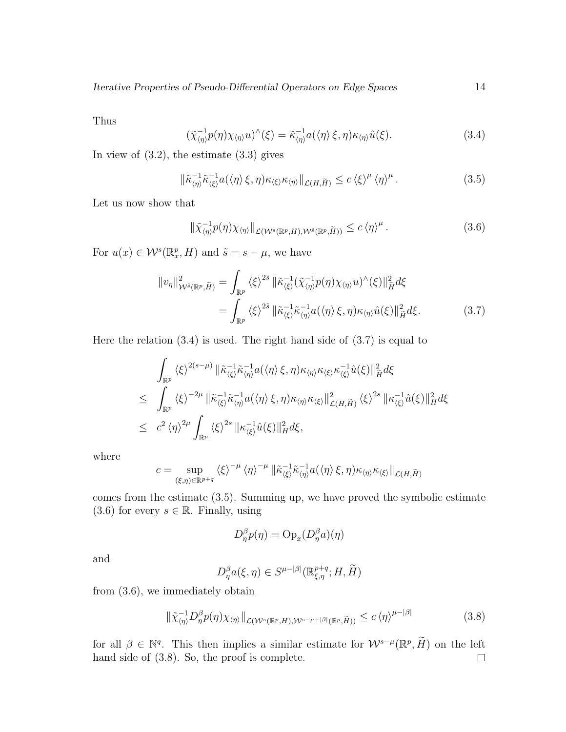Thus

$$
(\tilde{\chi}_{\langle \eta \rangle}^{-1} p(\eta) \chi_{\langle \eta \rangle} u)^{\wedge}(\xi) = \tilde{\kappa}_{\langle \eta \rangle}^{-1} a(\langle \eta \rangle \xi, \eta) \kappa_{\langle \eta \rangle} \hat{u}(\xi).
$$
 (3.4)

In view of  $(3.2)$ , the estimate  $(3.3)$  gives

$$
\|\tilde{\kappa}_{\langle\eta\rangle}^{-1}\tilde{\kappa}_{\langle\xi\rangle}^{-1}a(\langle\eta\rangle\xi,\eta)\kappa_{\langle\xi\rangle}\kappa_{\langle\eta\rangle}\|_{\mathcal{L}(H,\widetilde{H})} \leq c\,\langle\xi\rangle^{\mu}\,\langle\eta\rangle^{\mu}.
$$
\n(3.5)

Let us now show that

$$
\|\tilde{\chi}_{\langle\eta\rangle}^{-1}p(\eta)\chi_{\langle\eta\rangle}\|_{\mathcal{L}(\mathcal{W}^s(\mathbb{R}^p,H),\mathcal{W}^{\tilde{s}}(\mathbb{R}^p,\tilde{H}))} \leq c\,\langle\eta\rangle^{\mu} \,. \tag{3.6}
$$

For  $u(x) \in \mathcal{W}^s(\mathbb{R}^p_x, H)$  and  $\tilde{s} = s - \mu$ , we have

$$
||v_{\eta}||_{\mathcal{W}^{\tilde{s}}(\mathbb{R}^{p},\tilde{H})}^{2} = \int_{\mathbb{R}^{p}} \langle \xi \rangle^{2\tilde{s}} ||\tilde{\kappa}_{\langle \xi \rangle}^{-1} (\tilde{\chi}_{\langle \eta \rangle}^{-1} p(\eta) \chi_{\langle \eta \rangle} u)^{\wedge} (\xi) ||_{\tilde{H}}^{2} d\xi
$$
  

$$
= \int_{\mathbb{R}^{p}} \langle \xi \rangle^{2\tilde{s}} ||\tilde{\kappa}_{\langle \xi \rangle}^{-1} \tilde{\kappa}_{\langle \eta \rangle}^{-1} a(\langle \eta \rangle \xi, \eta) \kappa_{\langle \eta \rangle} \hat{u}(\xi) ||_{\tilde{H}}^{2} d\xi. \tag{3.7}
$$

Here the relation  $(3.4)$  is used. The right hand side of  $(3.7)$  is equal to

$$
\int_{\mathbb{R}^p} \langle \xi \rangle^{2(s-\mu)} \|\tilde{\kappa}_{\langle \xi \rangle}^{-1} \tilde{\kappa}_{\langle \eta \rangle}^{-1} a(\langle \eta \rangle \xi, \eta) \kappa_{\langle \eta \rangle} \kappa_{\langle \xi \rangle} \kappa_{\langle \xi \rangle}^{-1} \hat{u}(\xi) \|_{\tilde{H}}^2 d\xi
$$
\n
$$
\leq \int_{\mathbb{R}^p} \langle \xi \rangle^{-2\mu} \|\tilde{\kappa}_{\langle \xi \rangle}^{-1} \tilde{\kappa}_{\langle \eta \rangle}^{-1} a(\langle \eta \rangle \xi, \eta) \kappa_{\langle \eta \rangle} \kappa_{\langle \xi \rangle} \|_{\mathcal{L}(H, \tilde{H})}^2 \langle \xi \rangle^{2s} \| \kappa_{\langle \xi \rangle}^{-1} \hat{u}(\xi) \|_{H}^2 d\xi
$$
\n
$$
\leq c^2 \langle \eta \rangle^{2\mu} \int_{\mathbb{R}^p} \langle \xi \rangle^{2s} \| \kappa_{\langle \xi \rangle}^{-1} \hat{u}(\xi) \|_{H}^2 d\xi,
$$

where

$$
c = \sup_{(\xi,\eta)\in\mathbb{R}^{p+q}} \langle \xi \rangle^{-\mu} \langle \eta \rangle^{-\mu} \|\tilde{\kappa}_{\langle \xi \rangle}^{-1} \tilde{\kappa}_{\langle \eta \rangle}^{-1} a(\langle \eta \rangle \xi, \eta) \kappa_{\langle \eta \rangle} \kappa_{\langle \xi \rangle} \|_{\mathcal{L}(H,\widetilde{H})}
$$

comes from the estimate (3.5). Summing up, we have proved the symbolic estimate (3.6) for every  $s \in \mathbb{R}$ . Finally, using

$$
D_{\eta}^{\beta}p(\eta) = \text{Op}_x(D_{\eta}^{\beta}a)(\eta)
$$

and

$$
D_{\eta}^{\beta}a(\xi,\eta) \in S^{\mu-|\beta|}(\mathbb{R}_{\xi,\eta}^{p+q};H,\widetilde{H})
$$

from (3.6), we immediately obtain

$$
\|\tilde{\chi}_{\langle\eta\rangle}^{-1}D_{\eta}^{\beta}p(\eta)\chi_{\langle\eta\rangle}\|_{\mathcal{L}(\mathcal{W}^s(\mathbb{R}^p,H),\mathcal{W}^{s-\mu+|\beta|}(\mathbb{R}^p,\widetilde{H}))} \leq c\,\langle\eta\rangle^{\mu-|\beta|} \tag{3.8}
$$

for all  $\beta \in \mathbb{N}^q$ . This then implies a similar estimate for  $\mathcal{W}^{s-\mu}(\mathbb{R}^p, \widetilde{H})$  on the left hand side of (3.8). So, the proof is complete.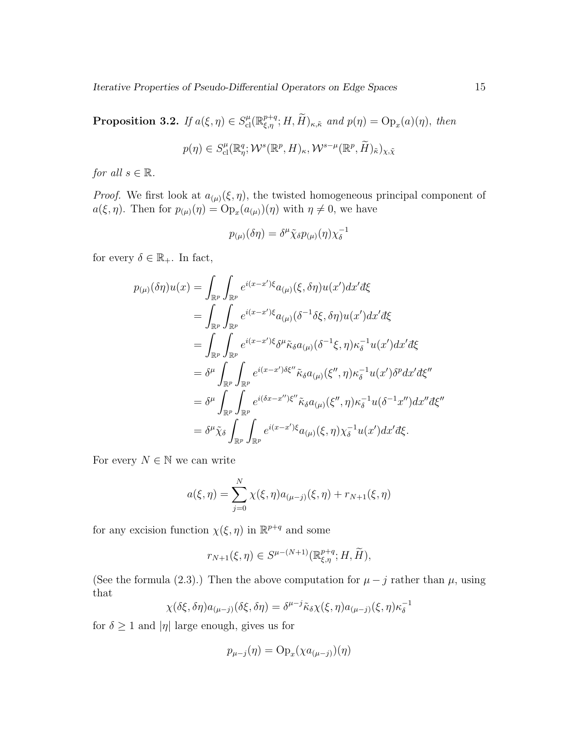**Proposition 3.2.** If  $a(\xi, \eta) \in S_{\text{cl}}^{\mu}(\mathbb{R}_{\xi, \eta}^{p+q}; H, \widetilde{H})_{\kappa, \tilde{\kappa}}$  and  $p(\eta) = \text{Op}_x(a)(\eta)$ , then

$$
p(\eta) \in S_{\text{cl}}^{\mu}(\mathbb{R}_{\eta}^q; \mathcal{W}^s(\mathbb{R}^p, H)_{\kappa}, \mathcal{W}^{s-\mu}(\mathbb{R}^p, \widetilde{H})_{\tilde{\kappa}})_{\chi, \tilde{\chi}}
$$

for all  $s \in \mathbb{R}$ .

*Proof.* We first look at  $a_{(\mu)}(\xi, \eta)$ , the twisted homogeneous principal component of  $a(\xi, \eta)$ . Then for  $p_{(\mu)}(\eta) = \text{Op}_x(a_{(\mu)})(\eta)$  with  $\eta \neq 0$ , we have

$$
p_{(\mu)}(\delta \eta) = \delta^{\mu} \tilde{\chi}_{\delta} p_{(\mu)}(\eta) \chi_{\delta}^{-1}
$$

for every  $\delta \in \mathbb{R}_+$ . In fact,

$$
p_{(\mu)}(\delta \eta)u(x) = \int_{\mathbb{R}^p} \int_{\mathbb{R}^p} e^{i(x-x')\xi} a_{(\mu)}(\xi, \delta \eta)u(x') dx' d\xi
$$
  
\n
$$
= \int_{\mathbb{R}^p} \int_{\mathbb{R}^p} e^{i(x-x')\xi} a_{(\mu)}(\delta^{-1}\delta \xi, \delta \eta)u(x') dx' d\xi
$$
  
\n
$$
= \int_{\mathbb{R}^p} \int_{\mathbb{R}^p} e^{i(x-x')\xi} \delta^{\mu} \tilde{\kappa}_{\delta} a_{(\mu)}(\delta^{-1}\xi, \eta) \kappa_{\delta}^{-1} u(x') dx' d\xi
$$
  
\n
$$
= \delta^{\mu} \int_{\mathbb{R}^p} \int_{\mathbb{R}^p} e^{i(x-x')\delta \xi''} \tilde{\kappa}_{\delta} a_{(\mu)}(\xi'', \eta) \kappa_{\delta}^{-1} u(x') \delta^p dx' d\xi''
$$
  
\n
$$
= \delta^{\mu} \int_{\mathbb{R}^p} \int_{\mathbb{R}^p} e^{i(\delta x - x'')\xi''} \tilde{\kappa}_{\delta} a_{(\mu)}(\xi'', \eta) \kappa_{\delta}^{-1} u(\delta^{-1} x'') dx'' d\xi''
$$
  
\n
$$
= \delta^{\mu} \tilde{\chi}_{\delta} \int_{\mathbb{R}^p} \int_{\mathbb{R}^p} e^{i(x-x')\xi} a_{(\mu)}(\xi, \eta) \chi_{\delta}^{-1} u(x') dx' d\xi.
$$

For every  $N \in \mathbb{N}$  we can write

$$
a(\xi, \eta) = \sum_{j=0}^{N} \chi(\xi, \eta) a_{(\mu-j)}(\xi, \eta) + r_{N+1}(\xi, \eta)
$$

for any excision function  $\chi(\xi, \eta)$  in  $\mathbb{R}^{p+q}$  and some

$$
r_{N+1}(\xi,\eta) \in S^{\mu-(N+1)}(\mathbb{R}_{\xi,\eta}^{p+q};H,\widetilde{H}),
$$

(See the formula (2.3).) Then the above computation for  $\mu - j$  rather than  $\mu$ , using that

$$
\chi(\delta\xi,\delta\eta)a_{(\mu-j)}(\delta\xi,\delta\eta)=\delta^{\mu-j}\tilde{\kappa}_{\delta}\chi(\xi,\eta)a_{(\mu-j)}(\xi,\eta)\kappa_{\delta}^{-1}
$$

for  $\delta \geq 1$  and  $|\eta|$  large enough, gives us for

$$
p_{\mu-j}(\eta) = \mathrm{Op}_x(\chi a_{(\mu-j)})(\eta)
$$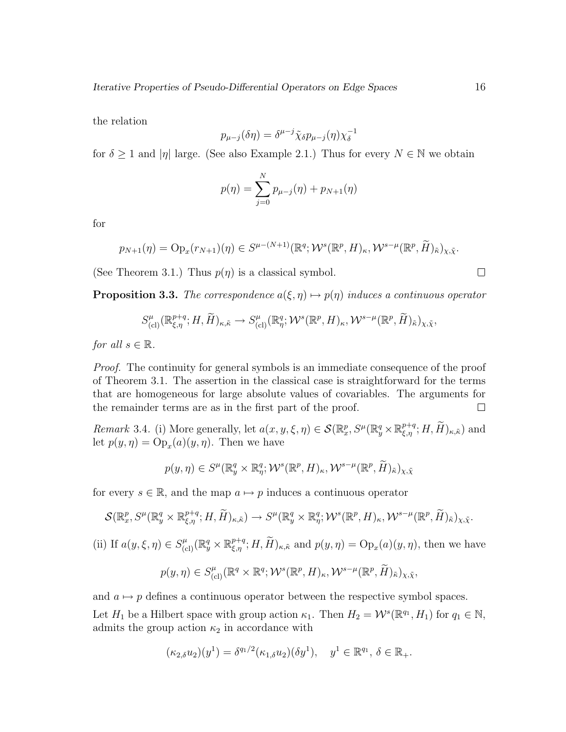the relation

$$
p_{\mu-j}(\delta \eta) = \delta^{\mu-j} \tilde{\chi}_{\delta} p_{\mu-j}(\eta) \chi_{\delta}^{-1}
$$

for  $\delta \geq 1$  and  $|\eta|$  large. (See also Example 2.1.) Thus for every  $N \in \mathbb{N}$  we obtain

$$
p(\eta) = \sum_{j=0}^{N} p_{\mu-j}(\eta) + p_{N+1}(\eta)
$$

for

$$
p_{N+1}(\eta) = \mathrm{Op}_x(r_{N+1})(\eta) \in S^{\mu-(N+1)}(\mathbb{R}^q; \mathcal{W}^s(\mathbb{R}^p, H)_\kappa, \mathcal{W}^{s-\mu}(\mathbb{R}^p, \widetilde{H})_{\widetilde{\kappa}})_{\chi, \tilde{\chi}}.
$$

(See Theorem 3.1.) Thus  $p(\eta)$  is a classical symbol.

**Proposition 3.3.** The correspondence  $a(\xi, \eta) \mapsto p(\eta)$  induces a continuous operator

$$
S_{\text{(cl)}}^{\mu}(\mathbb{R}^{p+q}_{\xi,\eta};H,\widetilde{H})_{\kappa,\tilde{\kappa}} \to S_{\text{(cl)}}^{\mu}(\mathbb{R}^{q}_{\eta};\mathcal{W}^{s}(\mathbb{R}^{p},H)_{\kappa},\mathcal{W}^{s-\mu}(\mathbb{R}^{p},\widetilde{H})_{\tilde{\kappa}})_{\chi,\tilde{\chi}},
$$

for all  $s \in \mathbb{R}$ .

Proof. The continuity for general symbols is an immediate consequence of the proof of Theorem 3.1. The assertion in the classical case is straightforward for the terms that are homogeneous for large absolute values of covariables. The arguments for the remainder terms are as in the first part of the proof.  $\Box$ 

Remark 3.4. (i) More generally, let  $a(x, y, \xi, \eta) \in \mathcal{S}(\mathbb{R}^p_x, S^{\mu}(\mathbb{R}^q_y \times \mathbb{R}^{p+q}_{\xi, \eta}; H, \widetilde{H})_{\kappa, \widetilde{\kappa}})$  and let  $p(y, \eta) = \text{Op}_x(a)(y, \eta)$ . Then we have

$$
p(y,\eta) \in S^{\mu}(\mathbb{R}_{y}^{q} \times \mathbb{R}_{\eta}^{q};\mathcal{W}^{s}(\mathbb{R}^{p},H)_{\kappa},\mathcal{W}^{s-\mu}(\mathbb{R}^{p},\widetilde{H})_{\widetilde{\kappa}})_{\chi,\widetilde{\chi}}
$$

for every  $s \in \mathbb{R}$ , and the map  $a \mapsto p$  induces a continuous operator

$$
\mathcal{S}(\mathbb{R}^p_x, S^{\mu}(\mathbb{R}^q_y \times \mathbb{R}^{p+q}_{\xi,\eta}; H, \widetilde{H})_{\kappa,\tilde{\kappa}}) \to S^{\mu}(\mathbb{R}^q_y \times \mathbb{R}^q_{\eta}; \mathcal{W}^s(\mathbb{R}^p, H)_{\kappa}, \mathcal{W}^{s-\mu}(\mathbb{R}^p, \widetilde{H})_{\tilde{\kappa}})_{\chi,\tilde{\chi}}.
$$

(ii) If  $a(y,\xi,\eta) \in S^{\mu}_{(cl)}(\mathbb{R}^q_y \times \mathbb{R}^{p+q}_{\xi,\eta}; H, \widetilde{H})_{\kappa,\tilde{\kappa}}$  and  $p(y,\eta) = \text{Op}_x(a)(y,\eta)$ , then we have

$$
p(y,\eta) \in S^{\mu}_{\text{(cl)}}(\mathbb{R}^q \times \mathbb{R}^q; \mathcal{W}^s(\mathbb{R}^p, H)_{\kappa}, \mathcal{W}^{s-\mu}(\mathbb{R}^p, \widetilde{H})_{\widetilde{\kappa}})_{\chi, \tilde{\chi}},
$$

and  $a \mapsto p$  defines a continuous operator between the respective symbol spaces.

Let  $H_1$  be a Hilbert space with group action  $\kappa_1$ . Then  $H_2 = \mathcal{W}^s(\mathbb{R}^{q_1}, H_1)$  for  $q_1 \in \mathbb{N}$ , admits the group action  $\kappa_2$  in accordance with

$$
(\kappa_{2,\delta}u_2)(y^1) = \delta^{q_1/2}(\kappa_{1,\delta}u_2)(\delta y^1), \quad y^1 \in \mathbb{R}^{q_1}, \delta \in \mathbb{R}_+.
$$

 $\Box$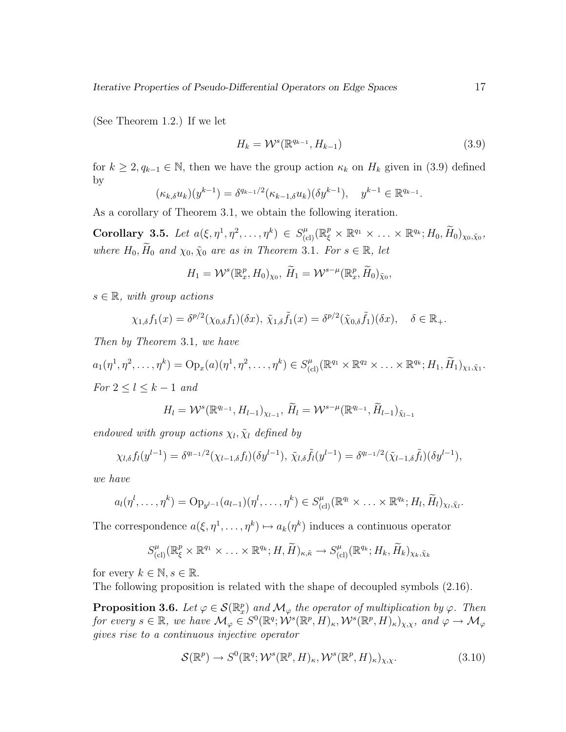(See Theorem 1.2.) If we let

$$
H_k = \mathcal{W}^s(\mathbb{R}^{q_{k-1}}, H_{k-1})\tag{3.9}
$$

for  $k \geq 2, q_{k-1} \in \mathbb{N}$ , then we have the group action  $\kappa_k$  on  $H_k$  given in (3.9) defined by

$$
(\kappa_{k,\delta} u_k)(y^{k-1}) = \delta^{q_{k-1}/2} (\kappa_{k-1,\delta} u_k)(\delta y^{k-1}), \quad y^{k-1} \in \mathbb{R}^{q_{k-1}}.
$$

As a corollary of Theorem 3.1, we obtain the following iteration.

 $\textbf{Corollary 3.5.}$  Let  $a(\xi, \eta^1, \eta^2, \ldots, \eta^k) \in S_{\text{(cl)}}^{\mu}(\mathbb{R}_{\xi}^p \times \mathbb{R}^{q_1} \times \ldots \times \mathbb{R}^{q_k}; H_0, \widetilde{H}_0)_{\chi_0, \tilde{\chi}_0},$ where  $H_0, \widetilde{H}_0$  and  $\chi_0, \widetilde{\chi}_0$  are as in Theorem 3.1. For  $s \in \mathbb{R}$ , let

$$
H_1 = \mathcal{W}^s(\mathbb{R}^p_x, H_0)_{\chi_0}, \ \widetilde{H}_1 = \mathcal{W}^{s-\mu}(\mathbb{R}^p_x, \widetilde{H}_0)_{\widetilde{\chi}_0},
$$

 $s \in \mathbb{R}$ , with group actions

$$
\chi_{1,\delta}f_1(x)=\delta^{p/2}(\chi_{0,\delta}f_1)(\delta x),\ \tilde{\chi}_{1,\delta}\tilde{f}_1(x)=\delta^{p/2}(\tilde{\chi}_{0,\delta}\tilde{f}_1)(\delta x),\quad \delta\in\mathbb{R}_+.
$$

Then by Theorem 3.1, we have

 $a_1(\eta^1, \eta^2, \ldots, \eta^k) = \text{Op}_x(a)(\eta^1, \eta^2, \ldots, \eta^k) \in S_{(cl)}^{\mu}(\mathbb{R}^{q_1} \times \mathbb{R}^{q_2} \times \ldots \times \mathbb{R}^{q_k}; H_1, \widetilde{H}_1)_{\chi_1, \tilde{\chi}_1}.$ For  $2 \leq l \leq k-1$  and

$$
H_l = \mathcal{W}^s(\mathbb{R}^{q_{l-1}}, H_{l-1})_{\chi_{l-1}}, \, \widetilde{H}_l = \mathcal{W}^{s-\mu}(\mathbb{R}^{q_{l-1}}, \widetilde{H}_{l-1})_{\tilde{\chi}_{l-1}}
$$

endowed with group actions  $\chi_l$ ,  $\tilde{\chi}_l$  defined by

$$
\chi_{l,\delta} f_l(y^{l-1}) = \delta^{q_{l-1}/2}(\chi_{l-1,\delta} f_l)(\delta y^{l-1}), \ \tilde{\chi}_{l,\delta} \tilde{f}_l(y^{l-1}) = \delta^{q_{l-1}/2}(\tilde{\chi}_{l-1,\delta} \tilde{f}_l)(\delta y^{l-1}),
$$

we have

$$
a_l(\eta^l,\ldots,\eta^k)=\mathrm{Op}_{y^{l-1}}(a_{l-1})(\eta^l,\ldots,\eta^k)\in S_{\mathrm{(cl)}}^{\mu}(\mathbb{R}^{q_l}\times\ldots\times\mathbb{R}^{q_k};H_l,\widetilde{H}_l)_{\chi_l,\tilde{\chi}_l}.
$$

The correspondence  $a(\xi, \eta^1, \dots, \eta^k) \mapsto a_k(\eta^k)$  induces a continuous operator

$$
S_{\text{(cl)}}^{\mu}(\mathbb{R}_{\xi}^{p} \times \mathbb{R}^{q_1} \times \ldots \times \mathbb{R}^{q_k}; H, \widetilde{H})_{\kappa, \tilde{\kappa}} \to S_{\text{(cl)}}^{\mu}(\mathbb{R}^{q_k}; H_k, \widetilde{H}_k)_{\chi_k, \tilde{\chi}_k}
$$

for every  $k \in \mathbb{N}, s \in \mathbb{R}$ .

The following proposition is related with the shape of decoupled symbols (2.16).

**Proposition 3.6.** Let  $\varphi \in \mathcal{S}(\mathbb{R}_{x}^{p})$  and  $\mathcal{M}_{\varphi}$  the operator of multiplication by  $\varphi$ . Then for every  $s \in \mathbb{R}$ , we have  $\mathcal{M}_{\varphi} \in S^0(\mathbb{R}^q; \mathcal{W}^s(\mathbb{R}^p, H)_{\kappa}, \mathcal{W}^s(\mathbb{R}^p, H)_{\kappa})_{\chi, \chi}$ , and  $\varphi \to \mathcal{M}_{\varphi}$ gives rise to a continuous injective operator

$$
\mathcal{S}(\mathbb{R}^p) \to S^0(\mathbb{R}^q; \mathcal{W}^s(\mathbb{R}^p, H)_\kappa, \mathcal{W}^s(\mathbb{R}^p, H)_\kappa)_{\chi, \chi}. \tag{3.10}
$$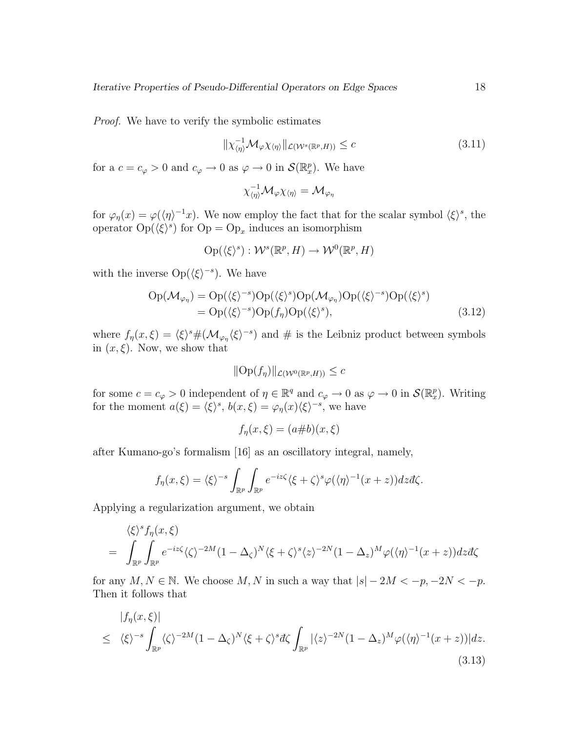Proof. We have to verify the symbolic estimates

$$
\|\chi_{\langle\eta\rangle}^{-1} \mathcal{M}_{\varphi} \chi_{\langle\eta\rangle}\|_{\mathcal{L}(\mathcal{W}^s(\mathbb{R}^p, H))} \le c \tag{3.11}
$$

for a  $c = c_{\varphi} > 0$  and  $c_{\varphi} \to 0$  as  $\varphi \to 0$  in  $\mathcal{S}(\mathbb{R}_{x}^{p})$ . We have

$$
\chi_{\langle \eta \rangle}^{-1} \mathcal{M}_{\varphi} \chi_{\langle \eta \rangle} = \mathcal{M}_{\varphi_{\eta}}
$$

for  $\varphi_{\eta}(x) = \varphi(\langle \eta \rangle^{-1}x)$ . We now employ the fact that for the scalar symbol  $\langle \xi \rangle^{s}$ , the operator  $Op(\langle \xi \rangle^s)$  for  $Op = Op_x$  induces an isomorphism

$$
\mathrm{Op}(\langle\xi\rangle^s):\mathcal W^s(\mathbb R^p,H)\to\mathcal W^0(\mathbb R^p,H)
$$

with the inverse  $Op(\langle \xi \rangle^{-s})$ . We have

$$
Op(\mathcal{M}_{\varphi_{\eta}}) = Op(\langle \xi \rangle^{-s})Op(\langle \xi \rangle^{s})Op(\mathcal{M}_{\varphi_{\eta}})Op(\langle \xi \rangle^{-s})Op(\langle \xi \rangle^{s})
$$
  
= Op(\langle \xi \rangle^{-s})Op(f\_{\eta})Op(\langle \xi \rangle^{s}), (3.12)

where  $f_{\eta}(x,\xi) = \langle \xi \rangle^s \# (\mathcal{M}_{\varphi_{\eta}} \langle \xi \rangle^{-s})$  and # is the Leibniz product between symbols in  $(x,\xi)$ . Now, we show that

$$
\|\text{Op}(f_{\eta})\|_{\mathcal{L}(\mathcal{W}^{0}(\mathbb{R}^{p},H))}\leq c
$$

for some  $c = c_{\varphi} > 0$  independent of  $\eta \in \mathbb{R}^q$  and  $c_{\varphi} \to 0$  as  $\varphi \to 0$  in  $\mathcal{S}(\mathbb{R}^p_x)$ . Writing for the moment  $a(\xi) = \langle \xi \rangle^s$ ,  $b(x,\xi) = \varphi_{\eta}(x)\langle \xi \rangle^{-s}$ , we have

$$
f_{\eta}(x,\xi) = (a\#b)(x,\xi)
$$

after Kumano-go's formalism [16] as an oscillatory integral, namely,

$$
f_{\eta}(x,\xi) = \langle \xi \rangle^{-s} \int_{\mathbb{R}^p} \int_{\mathbb{R}^p} e^{-iz\zeta} \langle \xi + \zeta \rangle^s \varphi(\langle \eta \rangle^{-1}(x+z)) dz d\zeta.
$$

Applying a regularization argument, we obtain

$$
\langle \xi \rangle^s f_{\eta}(x,\xi)
$$
  
= 
$$
\int_{\mathbb{R}^p} \int_{\mathbb{R}^p} e^{-iz\zeta} \langle \zeta \rangle^{-2M} (1 - \Delta_{\zeta})^N \langle \xi + \zeta \rangle^s \langle z \rangle^{-2N} (1 - \Delta_z)^M \varphi(\langle \eta \rangle^{-1}(x+z)) dz d\zeta
$$

for any  $M, N \in \mathbb{N}$ . We choose M, N in such a way that  $|s| - 2M < -p, -2N < -p$ . Then it follows that

$$
|f_{\eta}(x,\xi)|
$$
  
\n
$$
\leq \langle \xi \rangle^{-s} \int_{\mathbb{R}^p} \langle \zeta \rangle^{-2M} (1 - \Delta_{\zeta})^N \langle \xi + \zeta \rangle^s d\zeta \int_{\mathbb{R}^p} |\langle z \rangle^{-2N} (1 - \Delta_z)^M \varphi(\langle \eta \rangle^{-1} (x+z))| dz.
$$
\n(3.13)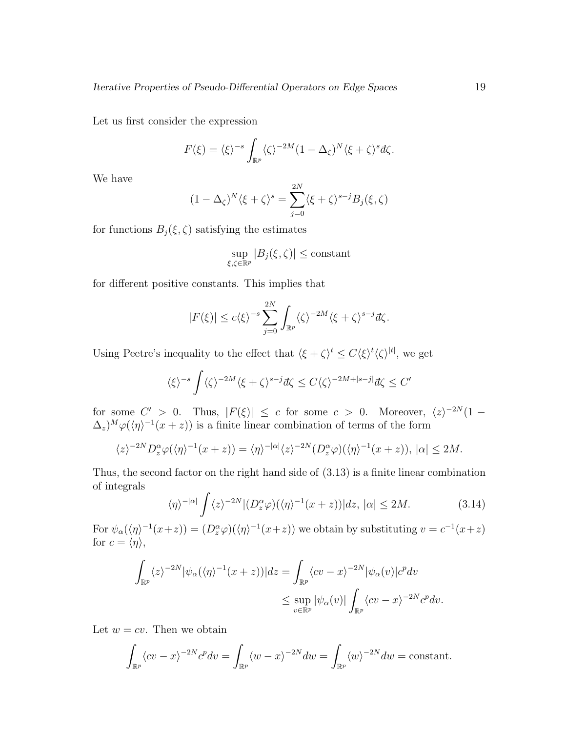Let us first consider the expression

$$
F(\xi) = \langle \xi \rangle^{-s} \int_{\mathbb{R}^p} \langle \zeta \rangle^{-2M} (1 - \Delta_{\zeta})^N \langle \xi + \zeta \rangle^s d\zeta.
$$

We have

$$
(1 - \Delta_{\zeta})^N \langle \xi + \zeta \rangle^s = \sum_{j=0}^{2N} \langle \xi + \zeta \rangle^{s-j} B_j(\xi, \zeta)
$$

for functions  $B_j(\xi, \zeta)$  satisfying the estimates

$$
\sup_{\xi,\zeta\in\mathbb{R}^p}|B_j(\xi,\zeta)|\leq \text{constant}
$$

for different positive constants. This implies that

$$
|F(\xi)| \le c \langle \xi \rangle^{-s} \sum_{j=0}^{2N} \int_{\mathbb{R}^p} \langle \zeta \rangle^{-2M} \langle \xi + \zeta \rangle^{s-j} d\zeta.
$$

Using Peetre's inequality to the effect that  $\langle \xi + \zeta \rangle^t \leq C \langle \xi \rangle^t \langle \zeta \rangle^{|t|}$ , we get

$$
\langle \xi \rangle^{-s} \int \langle \zeta \rangle^{-2M} \langle \xi + \zeta \rangle^{s-j} d\zeta \le C \langle \zeta \rangle^{-2M + |s-j|} d\zeta \le C'
$$

for some  $C' > 0$ . Thus,  $|F(\xi)| \leq c$  for some  $c > 0$ . Moreover,  $\langle z \rangle^{-2N} (1 (\Delta_z)^M \varphi(\langle \eta \rangle^{-1}(x+z))$  is a finite linear combination of terms of the form

$$
\langle z \rangle^{-2N} D_z^{\alpha} \varphi(\langle \eta \rangle^{-1}(x+z)) = \langle \eta \rangle^{-|\alpha|} \langle z \rangle^{-2N} (D_z^{\alpha} \varphi)(\langle \eta \rangle^{-1}(x+z)), |\alpha| \le 2M.
$$

Thus, the second factor on the right hand side of (3.13) is a finite linear combination of integrals

$$
\langle \eta \rangle^{-|\alpha|} \int \langle z \rangle^{-2N} |(D_z^{\alpha} \varphi)(\langle \eta \rangle^{-1}(x+z))| dz, |\alpha| \le 2M. \tag{3.14}
$$

For  $\psi_{\alpha}(\langle \eta \rangle^{-1}(x+z)) = (D_z^{\alpha}\varphi)(\langle \eta \rangle^{-1}(x+z))$  we obtain by substituting  $v = c^{-1}(x+z)$ for  $c = \langle \eta \rangle$ ,

$$
\int_{\mathbb{R}^p} \langle z \rangle^{-2N} |\psi_\alpha(\langle \eta \rangle^{-1}(x+z))| dz = \int_{\mathbb{R}^p} \langle cv - x \rangle^{-2N} |\psi_\alpha(v)| c^p dv
$$
  

$$
\leq \sup_{v \in \mathbb{R}^p} |\psi_\alpha(v)| \int_{\mathbb{R}^p} \langle cv - x \rangle^{-2N} c^p dv.
$$

Let  $w = cv$ . Then we obtain

$$
\int_{\mathbb{R}^p} \langle cv - x \rangle^{-2N} c^p dv = \int_{\mathbb{R}^p} \langle w - x \rangle^{-2N} dw = \int_{\mathbb{R}^p} \langle w \rangle^{-2N} dw = \text{constant}.
$$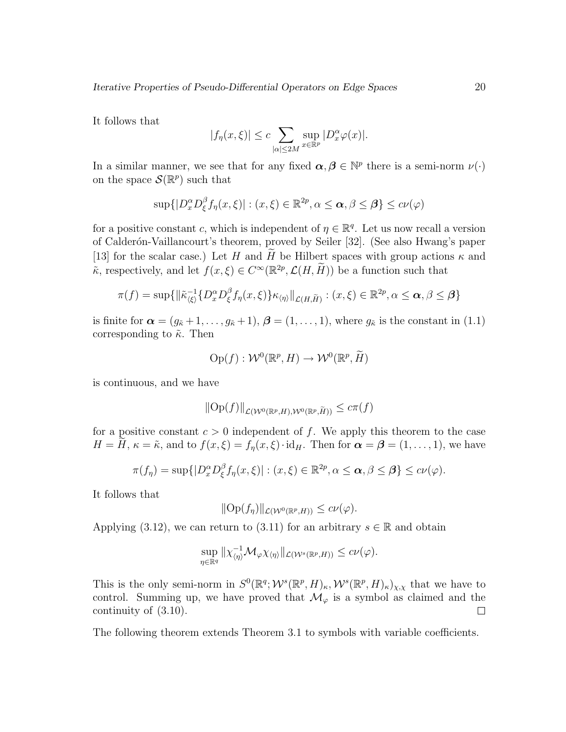It follows that

$$
|f_{\eta}(x,\xi)| \leq c \sum_{|\alpha| \leq 2M} \sup_{x \in \mathbb{R}^p} |D_x^{\alpha} \varphi(x)|.
$$

In a similar manner, we see that for any fixed  $\alpha, \beta \in \mathbb{N}^p$  there is a semi-norm  $\nu(\cdot)$ on the space  $\mathcal{S}(\mathbb{R}^p)$  such that

$$
\sup\{|D_x^{\alpha}D_{\xi}^{\beta}f_{\eta}(x,\xi)|:(x,\xi)\in\mathbb{R}^{2p},\alpha\leq\boldsymbol{\alpha},\beta\leq\boldsymbol{\beta}\}\leq c\nu(\varphi)
$$

for a positive constant c, which is independent of  $\eta \in \mathbb{R}^q$ . Let us now recall a version of Calder´on-Vaillancourt's theorem, proved by Seiler [32]. (See also Hwang's paper [13] for the scalar case.) Let H and H be Hilbert spaces with group actions  $\kappa$  and  $\tilde{\kappa}$ , respectively, and let  $f(x,\xi) \in C^{\infty}(\mathbb{R}^{2p}, \mathcal{L}(H, \widetilde{H}))$  be a function such that

$$
\pi(f) = \sup \{ \|\tilde{\kappa}_{\langle \xi \rangle}^{-1} \{ D_x^{\alpha} D_{\xi}^{\beta} f_{\eta}(x,\xi) \} \kappa_{\langle \eta \rangle} \|_{\mathcal{L}(H,\widetilde{H})} : (x,\xi) \in \mathbb{R}^{2p}, \alpha \le \alpha, \beta \le \beta \}
$$

is finite for  $\boldsymbol{\alpha} = (g_{\tilde{\kappa}}+1,\ldots,g_{\tilde{\kappa}}+1), \boldsymbol{\beta} = (1,\ldots,1),$  where  $g_{\tilde{\kappa}}$  is the constant in (1.1) corresponding to  $\tilde{\kappa}$ . Then

$$
\mathrm{Op}(f): \mathcal{W}^0(\mathbb{R}^p, H) \to \mathcal{W}^0(\mathbb{R}^p, \widetilde{H})
$$

is continuous, and we have

$$
\|\text{Op}(f)\|_{\mathcal{L}(\mathcal{W}^{0}(\mathbb{R}^p,H),\mathcal{W}^{0}(\mathbb{R}^p,\widetilde{H}))}\leq c\pi(f)
$$

for a positive constant  $c > 0$  independent of f. We apply this theorem to the case  $H = H, \kappa = \tilde{\kappa}$ , and to  $f(x,\xi) = f_n(x,\xi) \cdot id_H$ . Then for  $\alpha = \beta = (1,\ldots,1)$ , we have

$$
\pi(f_{\eta}) = \sup\{|D_x^{\alpha}D_{\xi}^{\beta}f_{\eta}(x,\xi)| : (x,\xi) \in \mathbb{R}^{2p}, \alpha \leq \alpha, \beta \leq \beta\} \leq c\nu(\varphi).
$$

It follows that

$$
\|\text{Op}(f_{\eta})\|_{\mathcal{L}(\mathcal{W}^{0}(\mathbb{R}^{p},H))} \leq c\nu(\varphi).
$$

Applying (3.12), we can return to (3.11) for an arbitrary  $s \in \mathbb{R}$  and obtain

$$
\sup_{\eta \in \mathbb{R}^q} \|\chi_{\langle \eta \rangle}^{-1} \mathcal{M}_{\varphi} \chi_{\langle \eta \rangle} \|_{\mathcal{L}(\mathcal{W}^s(\mathbb{R}^p, H))} \leq c \nu(\varphi).
$$

This is the only semi-norm in  $S^0(\mathbb{R}^q; \mathcal{W}^s(\mathbb{R}^p, H)_\kappa, \mathcal{W}^s(\mathbb{R}^p, H)_\kappa)_{\chi,\chi}$  that we have to control. Summing up, we have proved that  $\mathcal{M}_{\varphi}$  is a symbol as claimed and the continuity of (3.10).  $\Box$ 

The following theorem extends Theorem 3.1 to symbols with variable coefficients.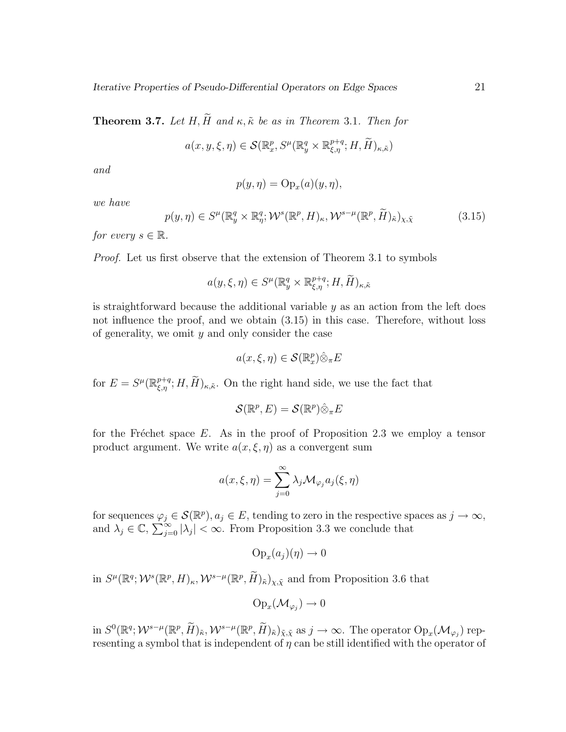**Theorem 3.7.** Let H,  $\widetilde{H}$  and  $\kappa$ ,  $\widetilde{\kappa}$  be as in Theorem 3.1. Then for

$$
a(x, y, \xi, \eta) \in \mathcal{S}(\mathbb{R}^p_x, S^{\mu}(\mathbb{R}^q_y \times \mathbb{R}^{p+q}_{\xi, \eta}; H, \widetilde{H})_{\kappa, \widetilde{\kappa}})
$$

and

$$
p(y, \eta) = \text{Op}_x(a)(y, \eta),
$$

we have

$$
p(y,\eta) \in S^{\mu}(\mathbb{R}^q_y \times \mathbb{R}^q_\eta; \mathcal{W}^s(\mathbb{R}^p, H)_\kappa, \mathcal{W}^{s-\mu}(\mathbb{R}^p, \widetilde{H})_{\tilde{\kappa}})_{\chi, \tilde{\chi}}
$$
(3.15)

for every  $s \in \mathbb{R}$ .

Proof. Let us first observe that the extension of Theorem 3.1 to symbols

$$
a(y,\xi,\eta) \in S^{\mu}(\mathbb{R}^q_y \times \mathbb{R}^{p+q}_{\xi,\eta}; H, \widetilde{H})_{\kappa,\widetilde{\kappa}}
$$

is straightforward because the additional variable  $y$  as an action from the left does not influence the proof, and we obtain (3.15) in this case. Therefore, without loss of generality, we omit  $y$  and only consider the case

$$
a(x,\xi,\eta) \in \mathcal{S}(\mathbb{R}^p_x)\hat{\otimes}_{\pi}E
$$

for  $E = S^{\mu}(\mathbb{R}^{p+q}_{\xi,\eta}; H, \tilde{H})_{\kappa,\tilde{\kappa}}$ . On the right hand side, we use the fact that

$$
\mathcal{S}(\mathbb{R}^p, E) = \mathcal{S}(\mathbb{R}^p) \hat{\otimes}_{\pi} E
$$

for the Fréchet space E. As in the proof of Proposition 2.3 we employ a tensor product argument. We write  $a(x, \xi, \eta)$  as a convergent sum

$$
a(x,\xi,\eta) = \sum_{j=0}^{\infty} \lambda_j \mathcal{M}_{\varphi_j} a_j(\xi,\eta)
$$

for sequences  $\varphi_j \in \mathcal{S}(\mathbb{R}^p)$ ,  $a_j \in E$ , tending to zero in the respective spaces as  $j \to \infty$ , and  $\lambda_j \in \mathbb{C}, \sum_{j=0}^{+\infty} |\lambda_j| < \infty$ . From Proposition 3.3 we conclude that

$$
\mathrm{Op}_x(a_j)(\eta) \to 0
$$

in  $S^{\mu}(\mathbb{R}^q; \mathcal{W}^s(\mathbb{R}^p, H)_{\kappa}, \mathcal{W}^{s-\mu}(\mathbb{R}^p, \widetilde{H})_{\tilde{\kappa}})_{\chi, \tilde{\chi}}$  and from Proposition 3.6 that

$$
\mathrm{Op}_x(\mathcal{M}_{\varphi_j}) \to 0
$$

in  $S^0(\mathbb{R}^q; \mathcal{W}^{s-\mu}(\mathbb{R}^p, \widetilde{H})_{\tilde{\kappa}}, \mathcal{W}^{s-\mu}(\mathbb{R}^p, \widetilde{H})_{\tilde{\kappa}})_{\tilde{\chi}, \tilde{\chi}}$  as  $j \to \infty$ . The operator  $Op_x(\mathcal{M}_{\varphi_j})$  representing a symbol that is independent of  $\eta$  can be still identified with the operator of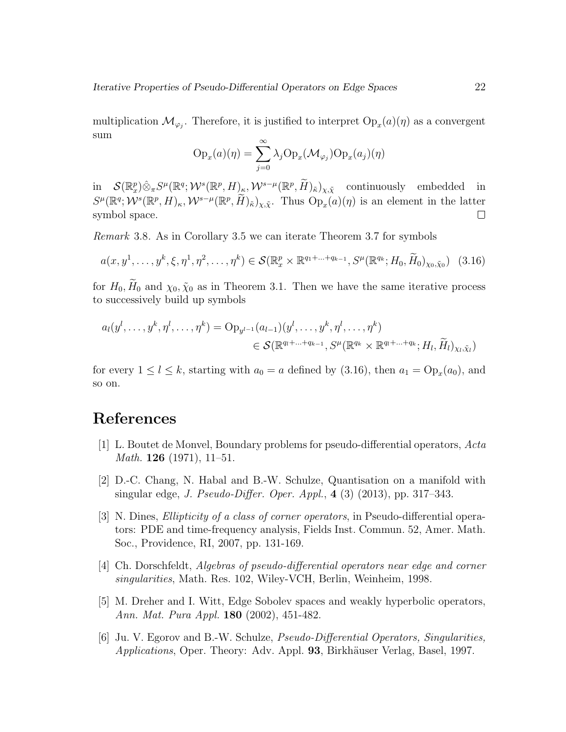multiplication  $\mathcal{M}_{\varphi_j}$ . Therefore, it is justified to interpret  $\text{Op}_x(a)(\eta)$  as a convergent sum

$$
Op_x(a)(\eta) = \sum_{j=0}^{\infty} \lambda_j Op_x(\mathcal{M}_{\varphi_j}) Op_x(a_j)(\eta)
$$

 $\inf_{\mathcal{S}} \mathcal{S}(\mathbb{R}_{x}^{p})\hat{\otimes}_{\pi}S^{\mu}(\mathbb{R}^{q};\mathcal{W}^{s}(\mathbb{R}^{p},H)_{\kappa},\mathcal{W}^{s-\mu}(\mathbb{R}^{p},\widetilde{H})_{\tilde{\kappa}})_{\chi,\tilde{\chi}}$  continuously embedded in  $S^{\mu}(\mathbb{R}^q; \mathcal{W}^s(\mathbb{R}^p, H)_{\kappa}, \mathcal{W}^{s-\mu}(\mathbb{R}^p, \widetilde{H})_{\tilde{\kappa}})_{\chi, \tilde{\chi}}$ . Thus  $\text{Op}_x(a)(\eta)$  is an element in the latter symbol space.  $\Box$ 

Remark 3.8. As in Corollary 3.5 we can iterate Theorem 3.7 for symbols

$$
a(x, y^1, \dots, y^k, \xi, \eta^1, \eta^2, \dots, \eta^k) \in \mathcal{S}(\mathbb{R}_x^p \times \mathbb{R}^{q_1 + \dots + q_{k-1}}, S^{\mu}(\mathbb{R}^{q_k}; H_0, \widetilde{H}_0)_{\chi_0, \tilde{\chi}_0})
$$
(3.16)

for  $H_0$ ,  $\widetilde{H}_0$  and  $\chi_0$ ,  $\widetilde{\chi}_0$  as in Theorem 3.1. Then we have the same iterative process to successively build up symbols

$$
a_l(y^l, \ldots, y^k, \eta^l, \ldots, \eta^k) = \mathrm{Op}_{y^{l-1}}(a_{l-1})(y^l, \ldots, y^k, \eta^l, \ldots, \eta^k)
$$
  

$$
\in \mathcal{S}(\mathbb{R}^{q_l + \ldots + q_{k-1}}, S^{\mu}(\mathbb{R}^{q_k} \times \mathbb{R}^{q_l + \ldots + q_k}; H_l, \widetilde{H}_l)_{\chi_l, \tilde{\chi}_l})
$$

for every  $1 \leq l \leq k$ , starting with  $a_0 = a$  defined by (3.16), then  $a_1 = \text{Op}_x(a_0)$ , and so on.

## References

- [1] L. Boutet de Monvel, Boundary problems for pseudo-differential operators, Acta *Math.* **126** (1971), 11–51.
- [2] D.-C. Chang, N. Habal and B.-W. Schulze, Quantisation on a manifold with singular edge, *J. Pseudo-Differ. Oper. Appl.*,  $4(3)(2013)$ , pp. 317–343.
- [3] N. Dines, Ellipticity of a class of corner operators, in Pseudo-differential operators: PDE and time-frequency analysis, Fields Inst. Commun. 52, Amer. Math. Soc., Providence, RI, 2007, pp. 131-169.
- [4] Ch. Dorschfeldt, Algebras of pseudo-differential operators near edge and corner singularities, Math. Res. 102, Wiley-VCH, Berlin, Weinheim, 1998.
- [5] M. Dreher and I. Witt, Edge Sobolev spaces and weakly hyperbolic operators, Ann. Mat. Pura Appl. 180 (2002), 451-482.
- [6] Ju. V. Egorov and B.-W. Schulze, Pseudo-Differential Operators, Singularities, Applications, Oper. Theory: Adv. Appl. 93, Birkhäuser Verlag, Basel, 1997.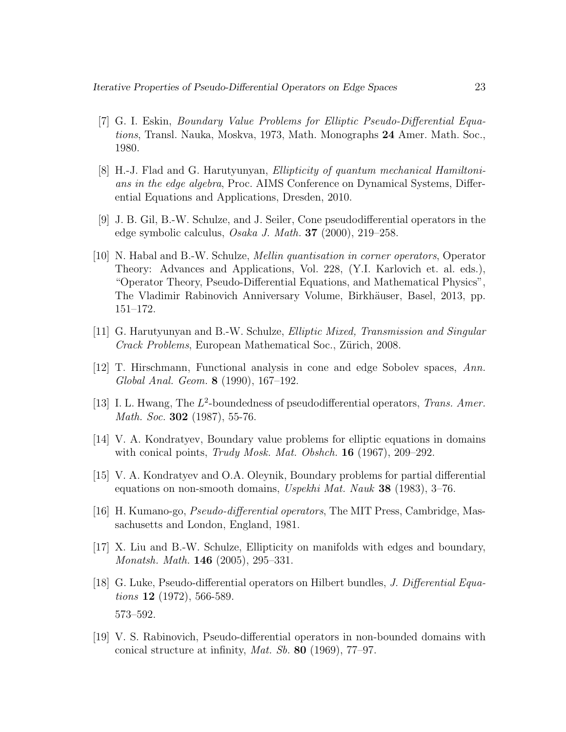- [7] G. I. Eskin, Boundary Value Problems for Elliptic Pseudo-Differential Equations, Transl. Nauka, Moskva, 1973, Math. Monographs 24 Amer. Math. Soc., 1980.
- [8] H.-J. Flad and G. Harutyunyan, Ellipticity of quantum mechanical Hamiltonians in the edge algebra, Proc. AIMS Conference on Dynamical Systems, Differential Equations and Applications, Dresden, 2010.
- [9] J. B. Gil, B.-W. Schulze, and J. Seiler, Cone pseudodifferential operators in the edge symbolic calculus, Osaka J. Math. 37 (2000), 219–258.
- [10] N. Habal and B.-W. Schulze, Mellin quantisation in corner operators, Operator Theory: Advances and Applications, Vol. 228, (Y.I. Karlovich et. al. eds.), "Operator Theory, Pseudo-Differential Equations, and Mathematical Physics", The Vladimir Rabinovich Anniversary Volume, Birkhäuser, Basel, 2013, pp. 151–172.
- [11] G. Harutyunyan and B.-W. Schulze, Elliptic Mixed, Transmission and Singular Crack Problems, European Mathematical Soc., Zürich, 2008.
- [12] T. Hirschmann, Functional analysis in cone and edge Sobolev spaces, Ann. Global Anal. Geom. 8 (1990), 167–192.
- [13] I. L. Hwang, The  $L^2$ -boundedness of pseudodifferential operators, Trans. Amer. Math. Soc. **302** (1987), 55-76.
- [14] V. A. Kondratyev, Boundary value problems for elliptic equations in domains with conical points, Trudy Mosk. Mat. Obshch.  $16$  (1967), 209–292.
- [15] V. A. Kondratyev and O.A. Oleynik, Boundary problems for partial differential equations on non-smooth domains, Uspekhi Mat. Nauk 38 (1983), 3–76.
- [16] H. Kumano-go, Pseudo-differential operators, The MIT Press, Cambridge, Massachusetts and London, England, 1981.
- [17] X. Liu and B.-W. Schulze, Ellipticity on manifolds with edges and boundary, Monatsh. Math. 146 (2005), 295–331.
- [18] G. Luke, Pseudo-differential operators on Hilbert bundles, *J. Differential Equa*tions 12 (1972), 566-589. 573–592.
- [19] V. S. Rabinovich, Pseudo-differential operators in non-bounded domains with conical structure at infinity, *Mat. Sb.* **80** (1969), 77–97.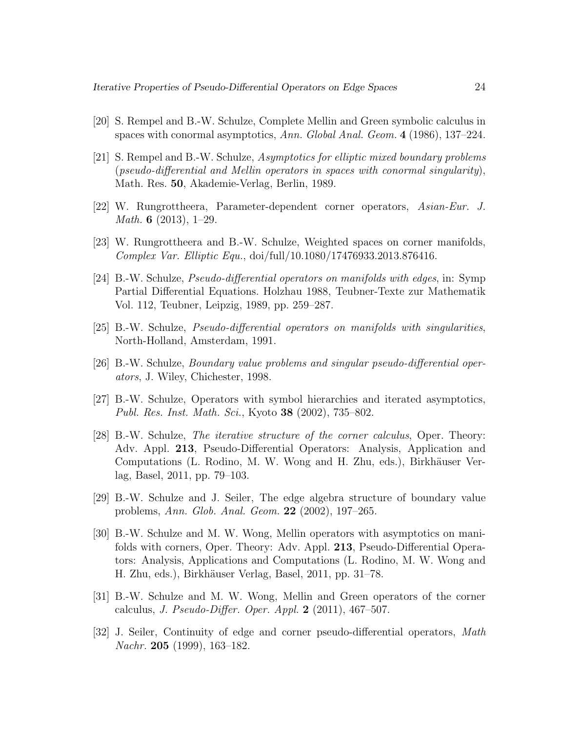- [20] S. Rempel and B.-W. Schulze, Complete Mellin and Green symbolic calculus in spaces with conormal asymptotics, Ann. Global Anal. Geom. 4 (1986), 137–224.
- [21] S. Rempel and B.-W. Schulze, Asymptotics for elliptic mixed boundary problems (pseudo-differential and Mellin operators in spaces with conormal singularity), Math. Res. 50, Akademie-Verlag, Berlin, 1989.
- [22] W. Rungrottheera, Parameter-dependent corner operators, Asian-Eur. J. Math. 6 (2013), 1–29.
- [23] W. Rungrottheera and B.-W. Schulze, Weighted spaces on corner manifolds, Complex Var. Elliptic Equ., doi/full/10.1080/17476933.2013.876416.
- [24] B.-W. Schulze, Pseudo-differential operators on manifolds with edges, in: Symp Partial Differential Equations. Holzhau 1988, Teubner-Texte zur Mathematik Vol. 112, Teubner, Leipzig, 1989, pp. 259–287.
- [25] B.-W. Schulze, Pseudo-differential operators on manifolds with singularities, North-Holland, Amsterdam, 1991.
- [26] B.-W. Schulze, Boundary value problems and singular pseudo-differential operators, J. Wiley, Chichester, 1998.
- [27] B.-W. Schulze, Operators with symbol hierarchies and iterated asymptotics, Publ. Res. Inst. Math. Sci., Kyoto 38 (2002), 735–802.
- [28] B.-W. Schulze, The iterative structure of the corner calculus, Oper. Theory: Adv. Appl. 213, Pseudo-Differential Operators: Analysis, Application and Computations (L. Rodino, M. W. Wong and H. Zhu, eds.), Birkhäuser Verlag, Basel, 2011, pp. 79–103.
- [29] B.-W. Schulze and J. Seiler, The edge algebra structure of boundary value problems, Ann. Glob. Anal. Geom. 22 (2002), 197–265.
- [30] B.-W. Schulze and M. W. Wong, Mellin operators with asymptotics on manifolds with corners, Oper. Theory: Adv. Appl. 213, Pseudo-Differential Operators: Analysis, Applications and Computations (L. Rodino, M. W. Wong and H. Zhu, eds.), Birkhäuser Verlag, Basel, 2011, pp. 31–78.
- [31] B.-W. Schulze and M. W. Wong, Mellin and Green operators of the corner calculus, J. Pseudo-Differ. Oper. Appl.  $2$  (2011), 467–507.
- [32] J. Seiler, Continuity of edge and corner pseudo-differential operators, Math Nachr. 205 (1999), 163–182.